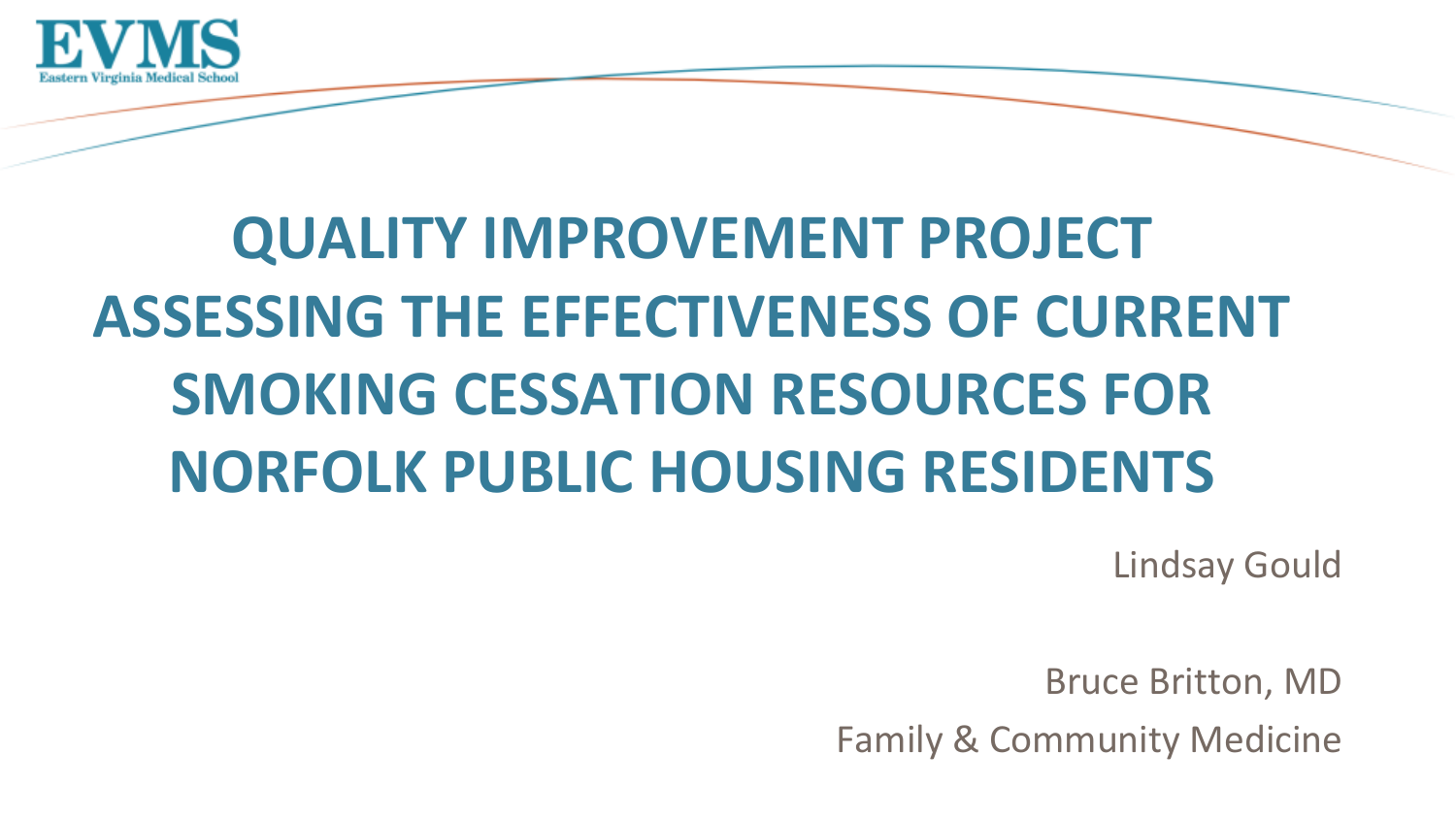

# **QUALITY IMPROVEMENT PROJECT ASSESSING THE EFFECTIVENESS OF CURRENT SMOKING CESSATION RESOURCES FOR NORFOLK PUBLIC HOUSING RESIDENTS**

Lindsay Gould

Bruce Britton, MD

Family & Community Medicine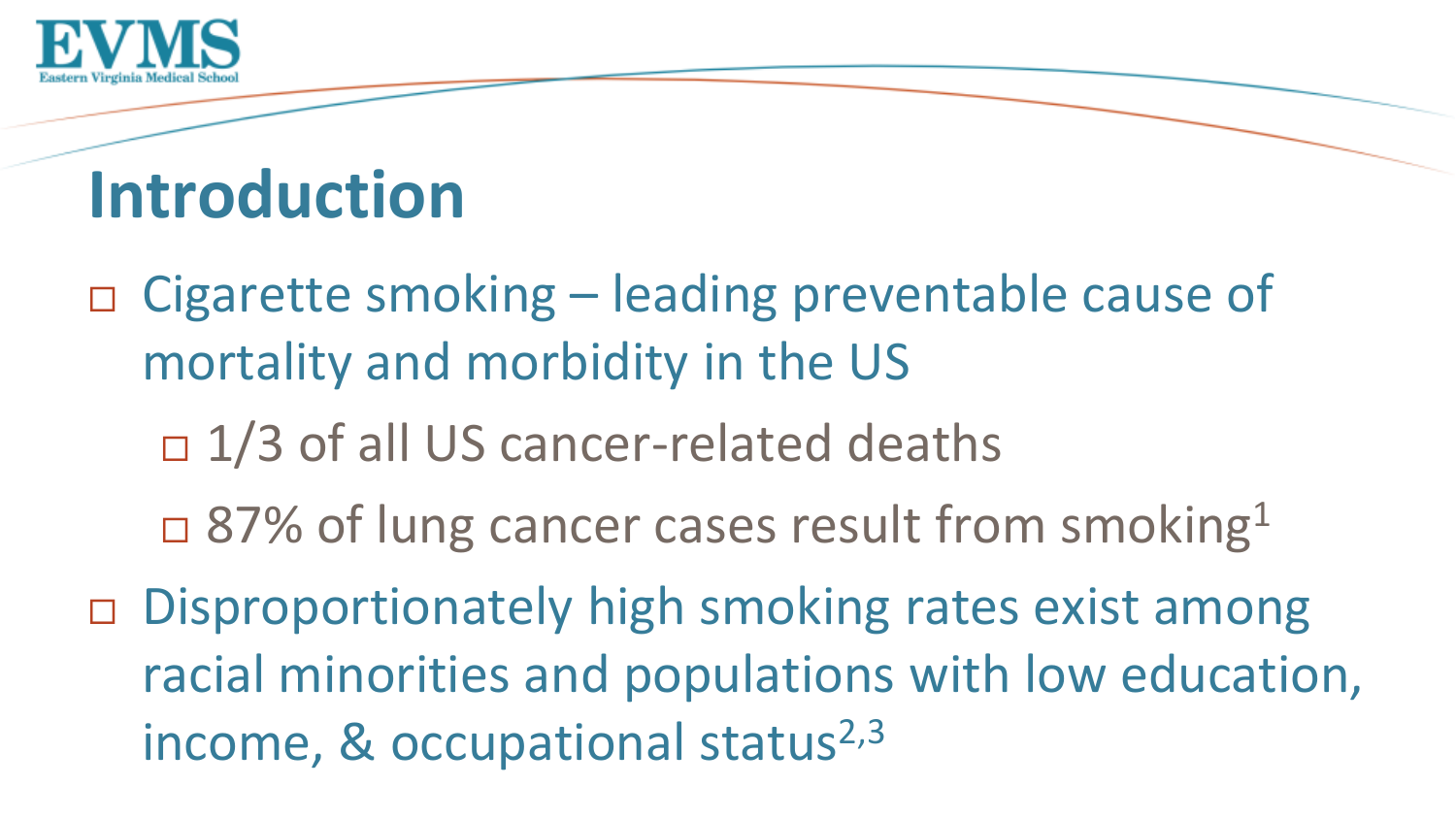

## **Introduction**

□ Cigarette smoking – leading preventable cause of mortality and morbidity in the US

- $\Box$  1/3 of all US cancer-related deaths
- $\Box$  87% of lung cancer cases result from smoking<sup>1</sup>
- □ Disproportionately high smoking rates exist among racial minorities and populations with low education, income, & occupational status $2,3$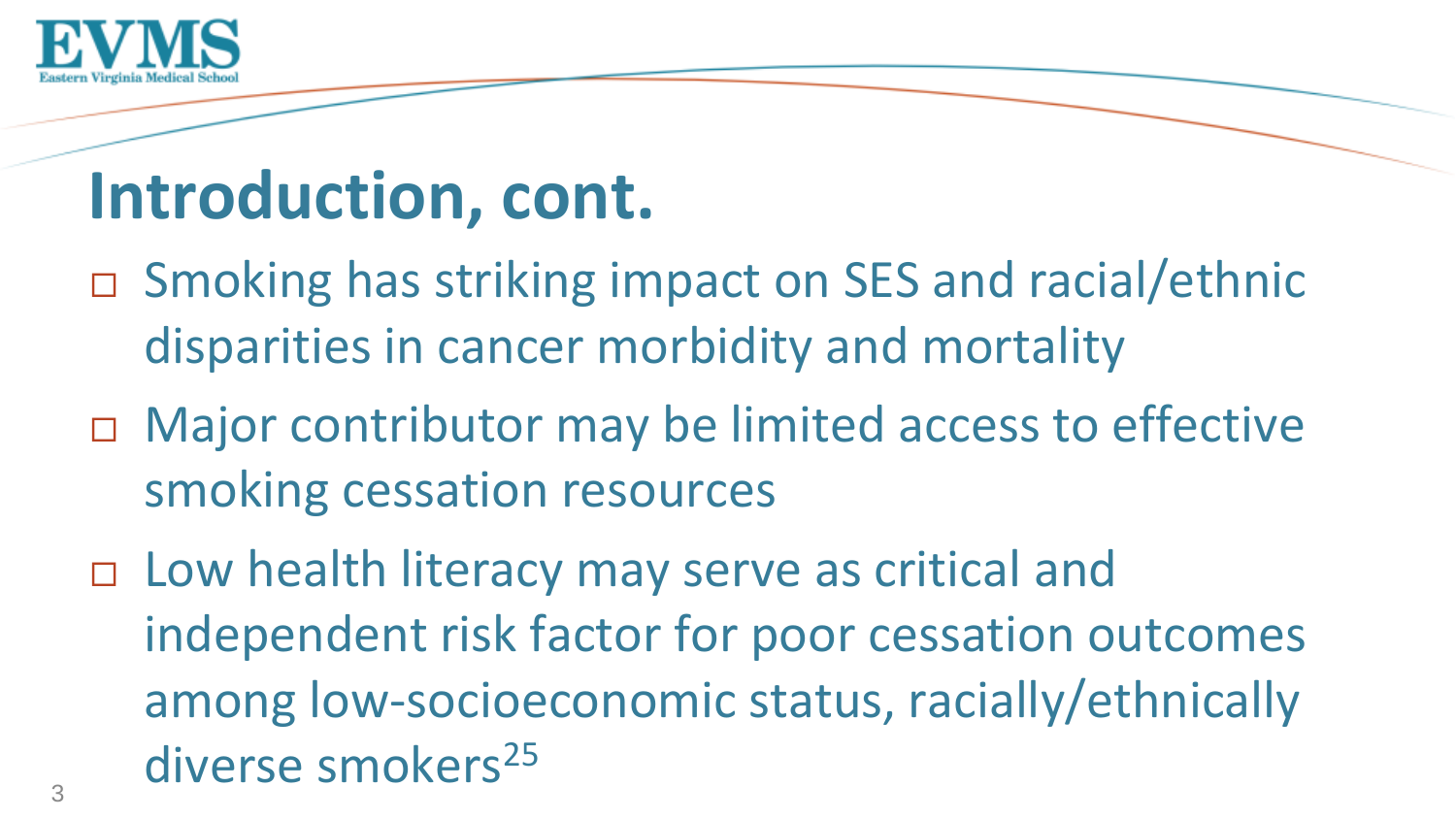

## **Introduction, cont.**

- □ Smoking has striking impact on SES and racial/ethnic disparities in cancer morbidity and mortality
- □ Major contributor may be limited access to effective smoking cessation resources
- □ Low health literacy may serve as critical and independent risk factor for poor cessation outcomes among low-socioeconomic status, racially/ethnically diverse smokers<sup>25</sup>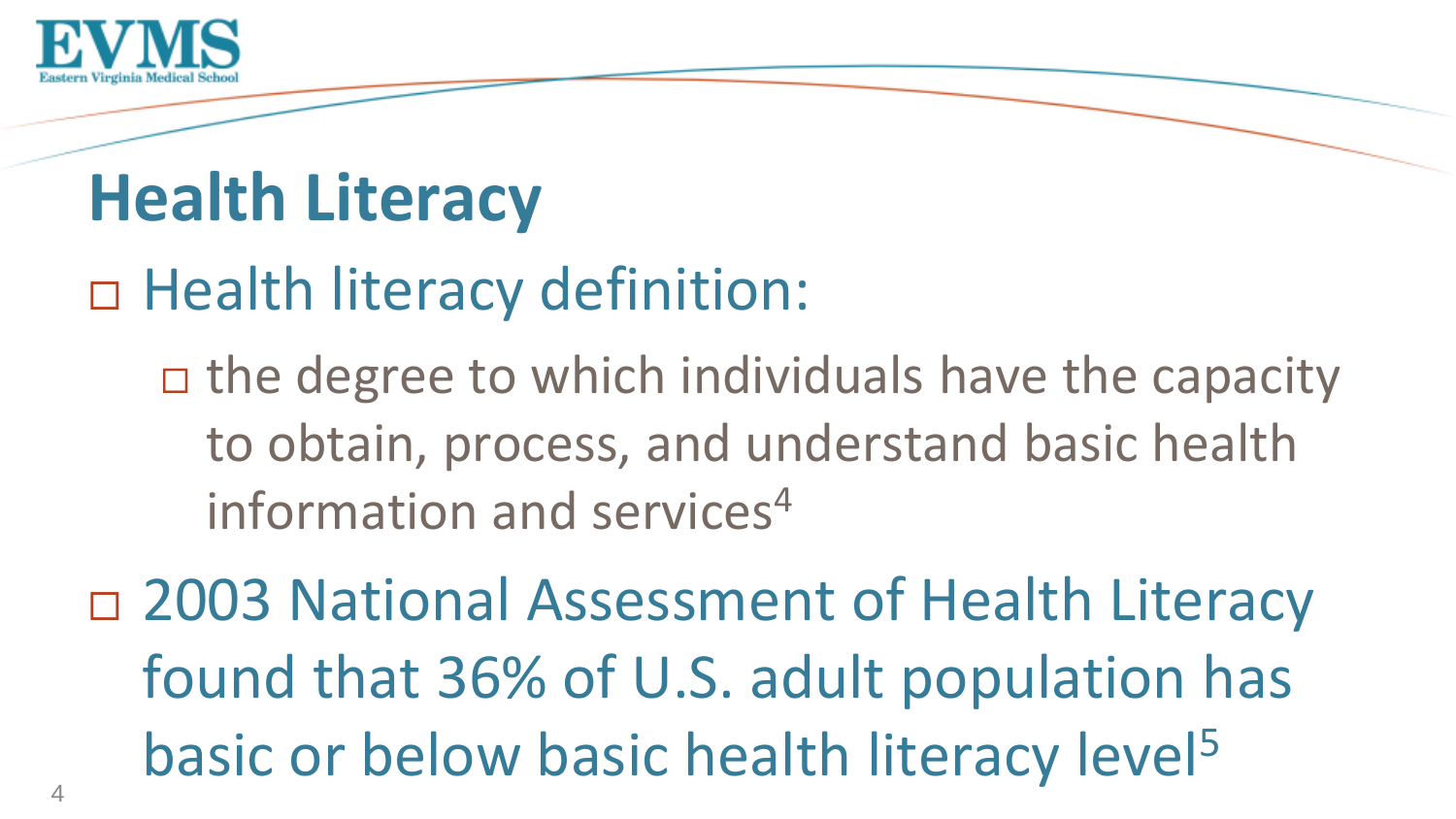

# **Health Literacy**

### Health literacy definition:

 $\Box$  the degree to which individuals have the capacity to obtain, process, and understand basic health information and services<sup>4</sup>

□ 2003 National Assessment of Health Literacy found that 36% of U.S. adult population has basic or below basic health literacy level<sup>5</sup>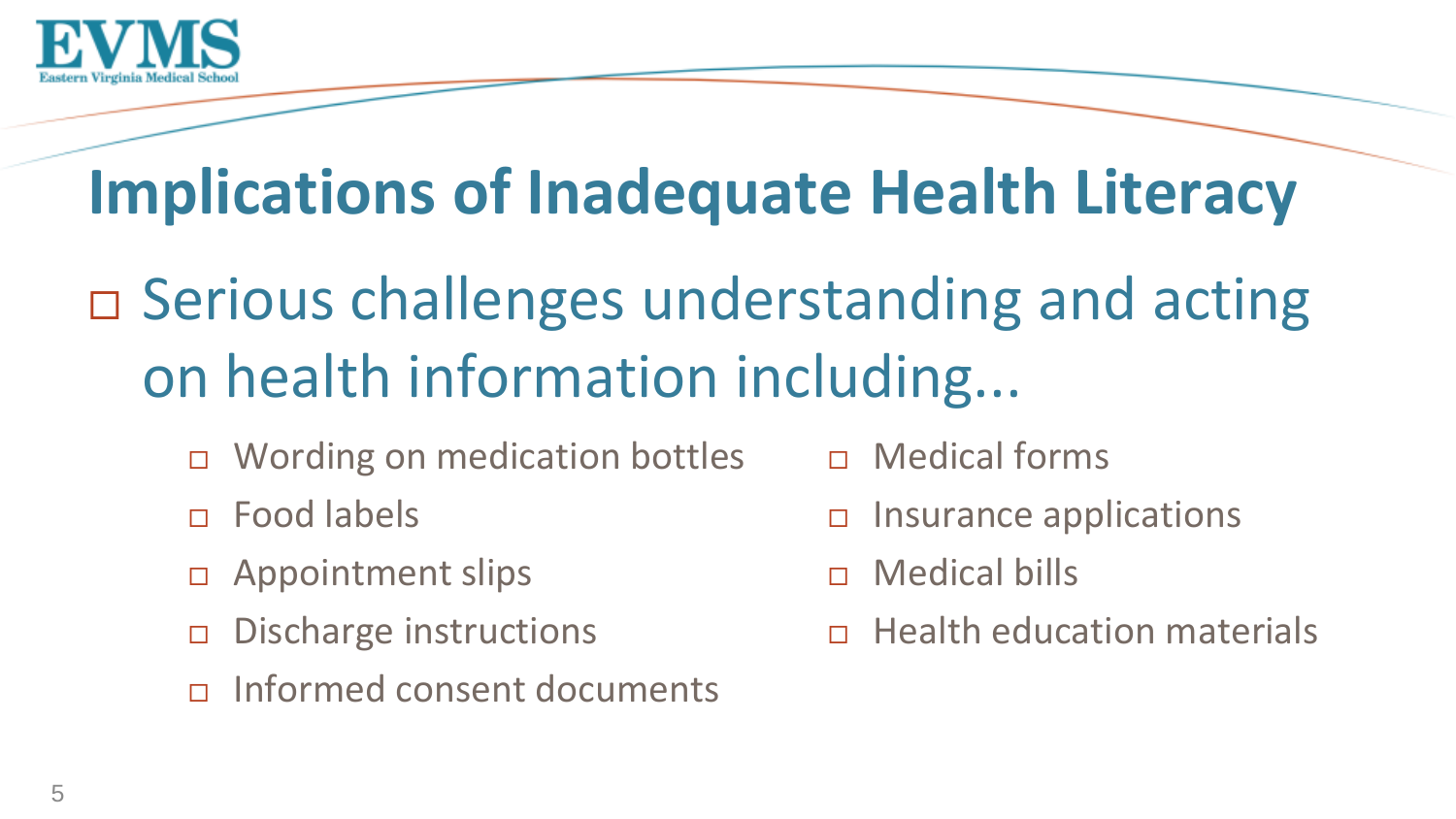

## **Implications of Inadequate Health Literacy**

- □ Serious challenges understanding and acting on health information including...
	- Wording on medication bottles
	- Food labels
	- Appointment slips
	- $\Box$  Discharge instructions
	- Informed consent documents
- Medical forms
- $\Box$  Insurance applications
- Medical bills
- $\Box$  Health education materials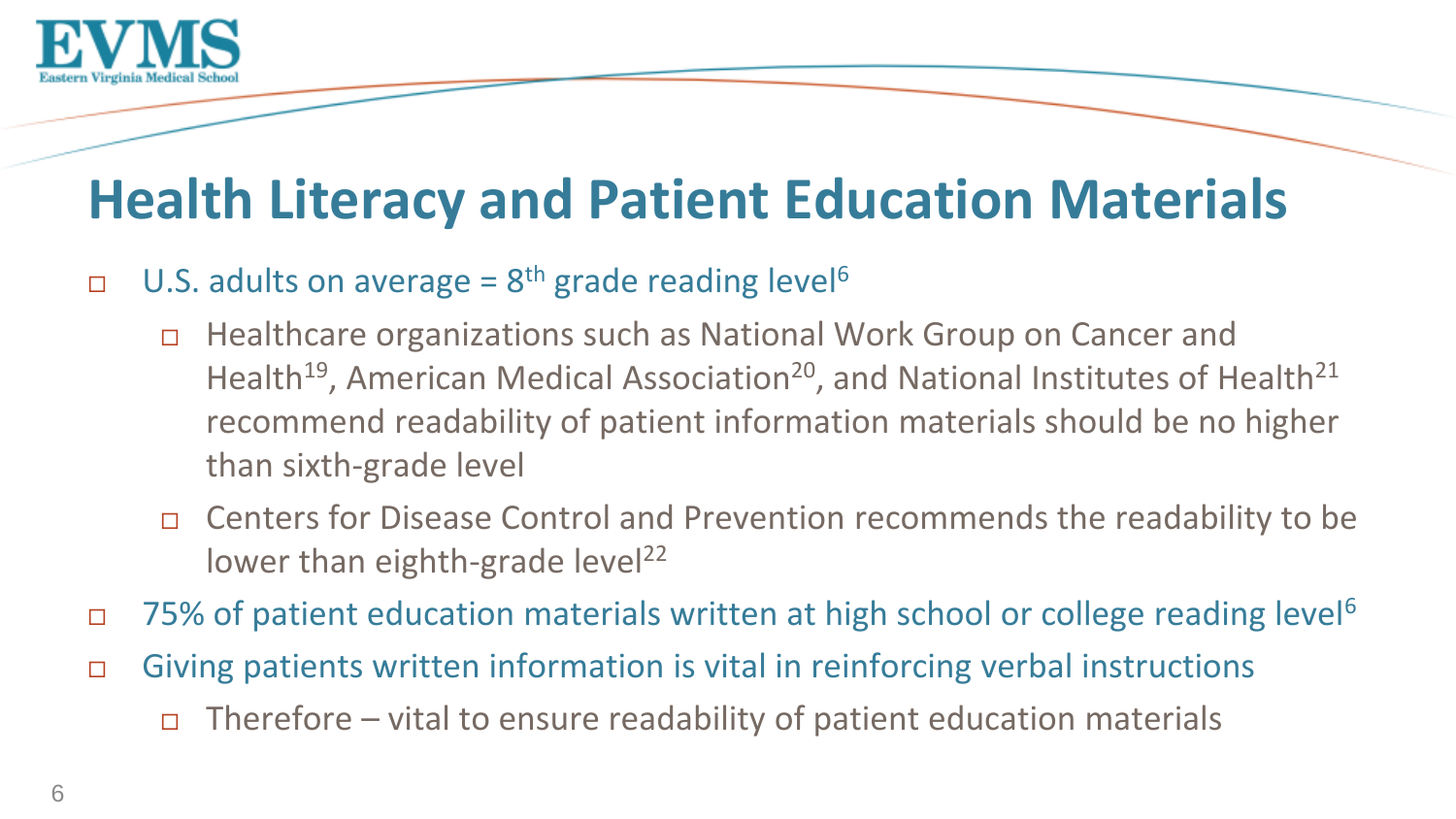

#### **Health Literacy and Patient Education Materials**

#### □ U.S. adults on average =  $8<sup>th</sup>$  grade reading level<sup>6</sup>

- □ Healthcare organizations such as National Work Group on Cancer and Health<sup>19</sup>, American Medical Association<sup>20</sup>, and National Institutes of Health<sup>21</sup> recommend readability of patient information materials should be no higher than sixth-grade level
- □ Centers for Disease Control and Prevention recommends the readability to be lower than eighth-grade level<sup>22</sup>
- 75% of patient education materials written at high school or college reading level<sup>6</sup>
- Giving patients written information is vital in reinforcing verbal instructions
	- $\Box$  Therefore vital to ensure readability of patient education materials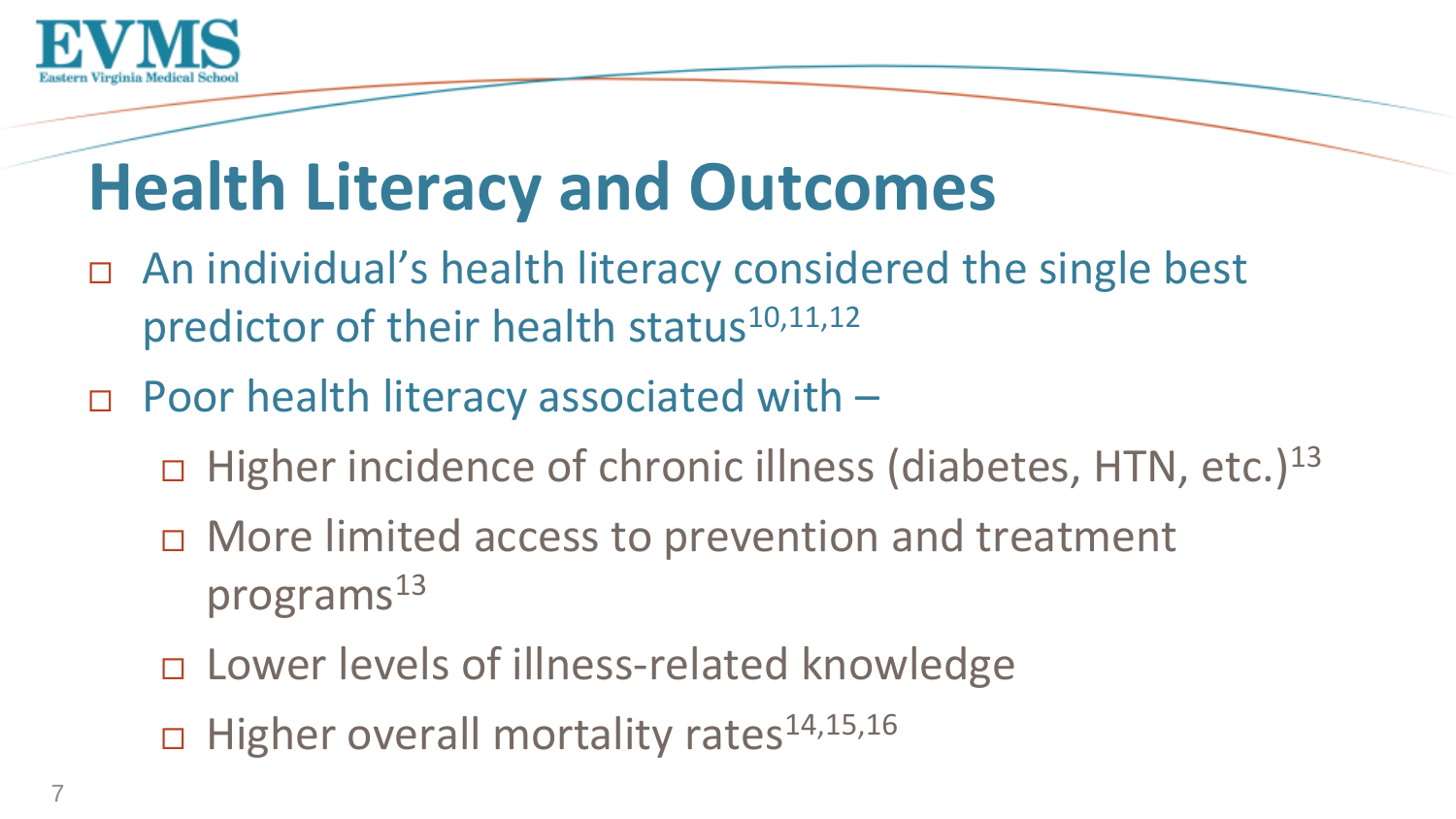

# **Health Literacy and Outcomes**

- An individual's health literacy considered the single best predictor of their health status<sup>10,11,12</sup>
- □ Poor health literacy associated with
	- $\Box$  Higher incidence of chronic illness (diabetes, HTN, etc.)<sup>13</sup>
	- □ More limited access to prevention and treatment programs $^{13}$
	- □ Lower levels of illness-related knowledge
	- $\Box$  Higher overall mortality rates<sup>14,15,16</sup>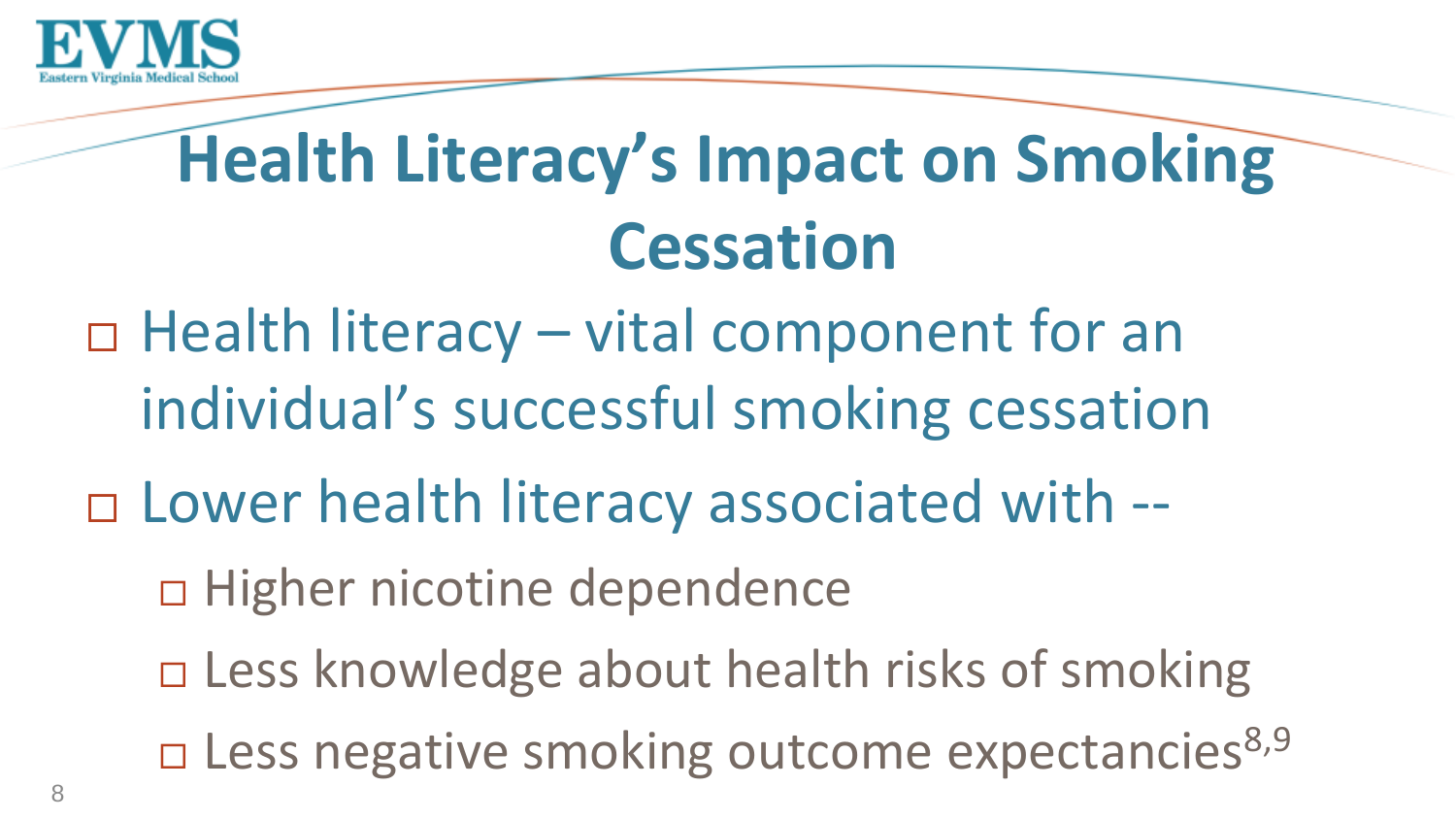

# **Health Literacy's Impact on Smoking Cessation**

□ Health literacy – vital component for an individual's successful smoking cessation

□ Lower health literacy associated with --

□ Higher nicotine dependence

- □ Less knowledge about health risks of smoking
- $\square$  Less negative smoking outcome expectancies<sup>8,9</sup>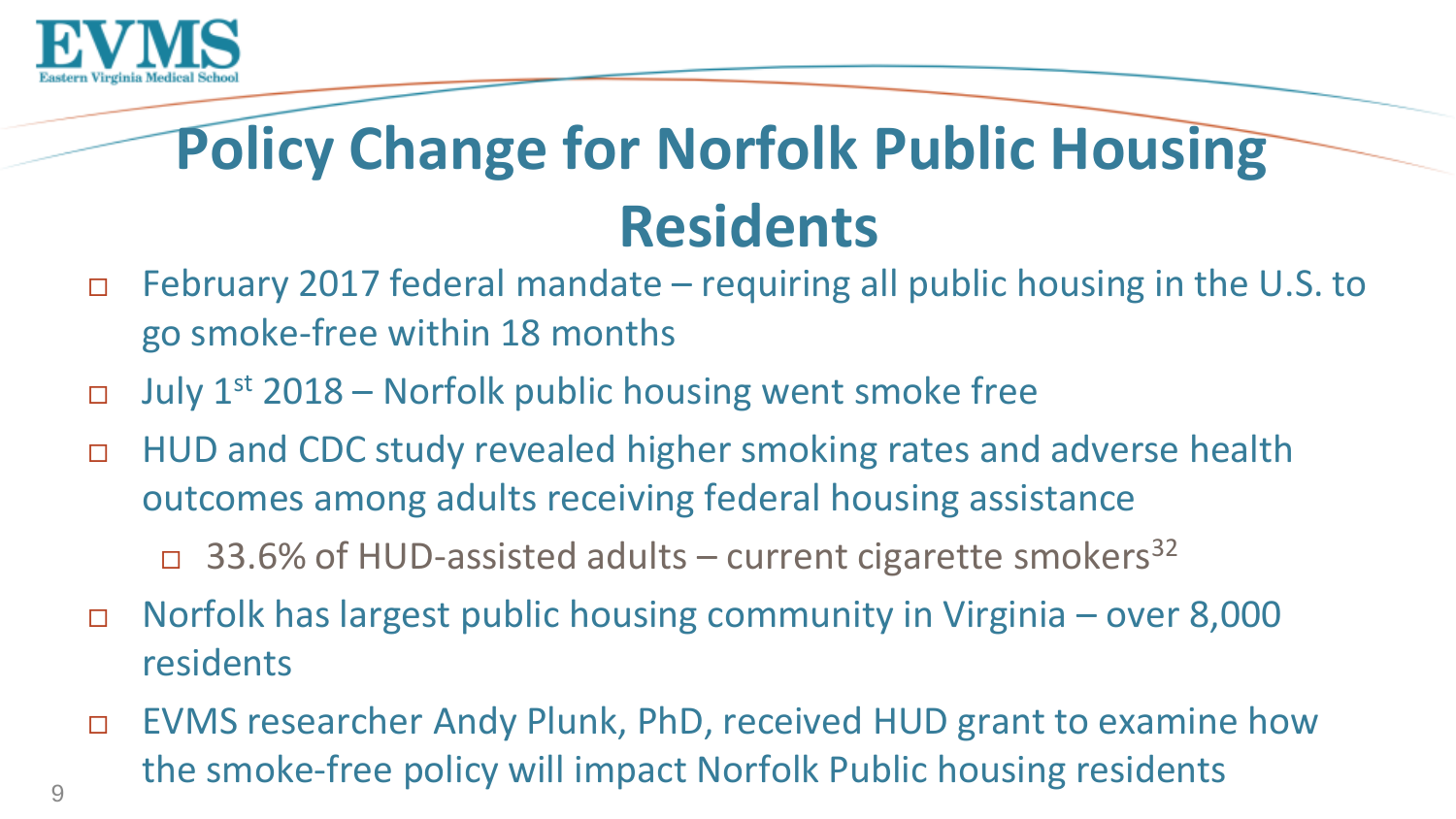

## **Policy Change for Norfolk Public Housing Residents**

- February 2017 federal mandate requiring all public housing in the U.S. to go smoke-free within 18 months
- July  $1^{st}$  2018 Norfolk public housing went smoke free
- □ HUD and CDC study revealed higher smoking rates and adverse health outcomes among adults receiving federal housing assistance
	- 33.6% of HUD-assisted adults current cigarette smokers<sup>32</sup>
- Norfolk has largest public housing community in Virginia over 8,000 residents
- EVMS researcher Andy Plunk, PhD, received HUD grant to examine how the smoke-free policy will impact Norfolk Public housing residents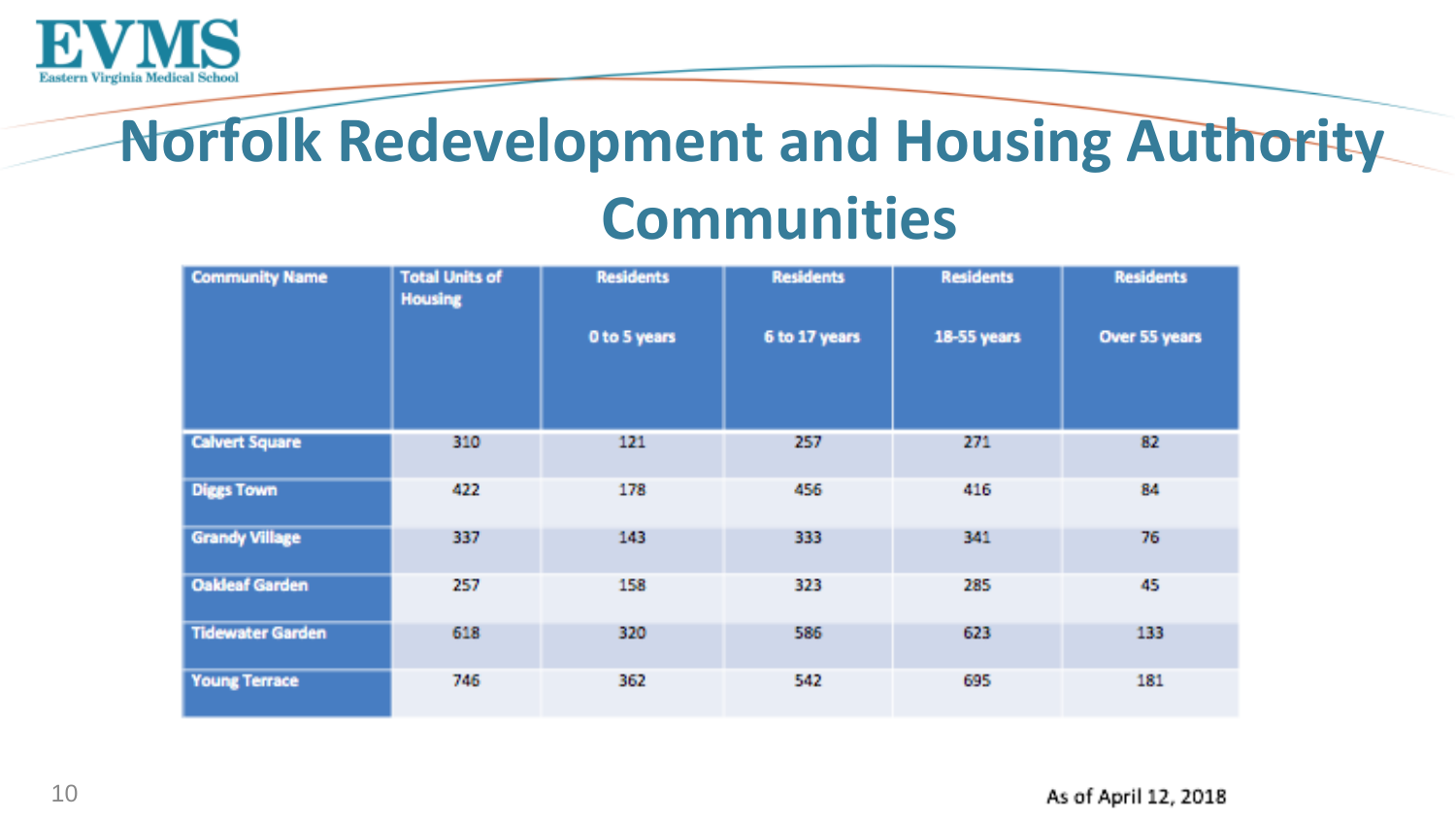

### **Norfolk Redevelopment and Housing Authority Communities**

| <b>Community Name</b>   | <b>Total Units of</b><br><b>Housing</b> | <b>Residents</b> | <b>Residents</b> | <b>Residents</b> | <b>Residents</b> |
|-------------------------|-----------------------------------------|------------------|------------------|------------------|------------------|
|                         |                                         | 0 to 5 years     | 6 to 17 years    | 18-55 years      | Over 55 years    |
| <b>Calvert Square</b>   | 310                                     | 121              | 257              | 271              | 82               |
| <b>Diggs Town</b>       | 422                                     | 178              | 456              | 416              | 84               |
| <b>Grandy Village</b>   | 337                                     | 143              | 333              | 341              | 76               |
| <b>Oakleaf Garden</b>   | 257                                     | 158              | 323              | 285              | 45               |
| <b>Tidewater Garden</b> | 618                                     | 320              | 586              | 623              | 133              |
| <b>Young Terrace</b>    | 746                                     | 362              | 542              | 695              | 181              |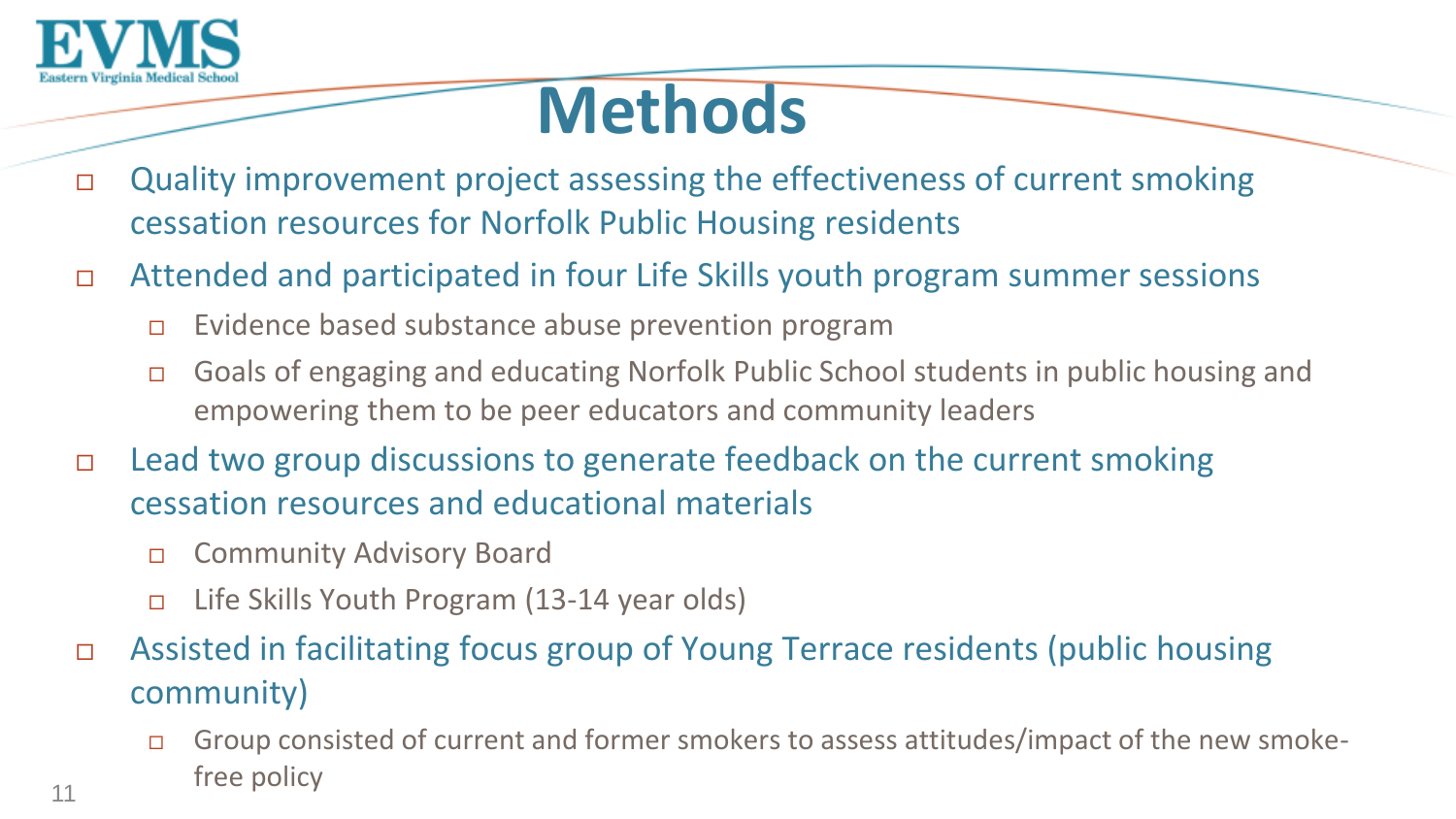

## **Methods**

- □ Quality improvement project assessing the effectiveness of current smoking cessation resources for Norfolk Public Housing residents
- Attended and participated in four Life Skills youth program summer sessions
	- $\Box$  Evidence based substance abuse prevention program
	- Goals of engaging and educating Norfolk Public School students in public housing and empowering them to be peer educators and community leaders
- □ Lead two group discussions to generate feedback on the current smoking cessation resources and educational materials
	- □ Community Advisory Board
	- Life Skills Youth Program (13-14 year olds)
- Assisted in facilitating focus group of Young Terrace residents (public housing community)
	- Group consisted of current and former smokers to assess attitudes/impact of the new smokefree policy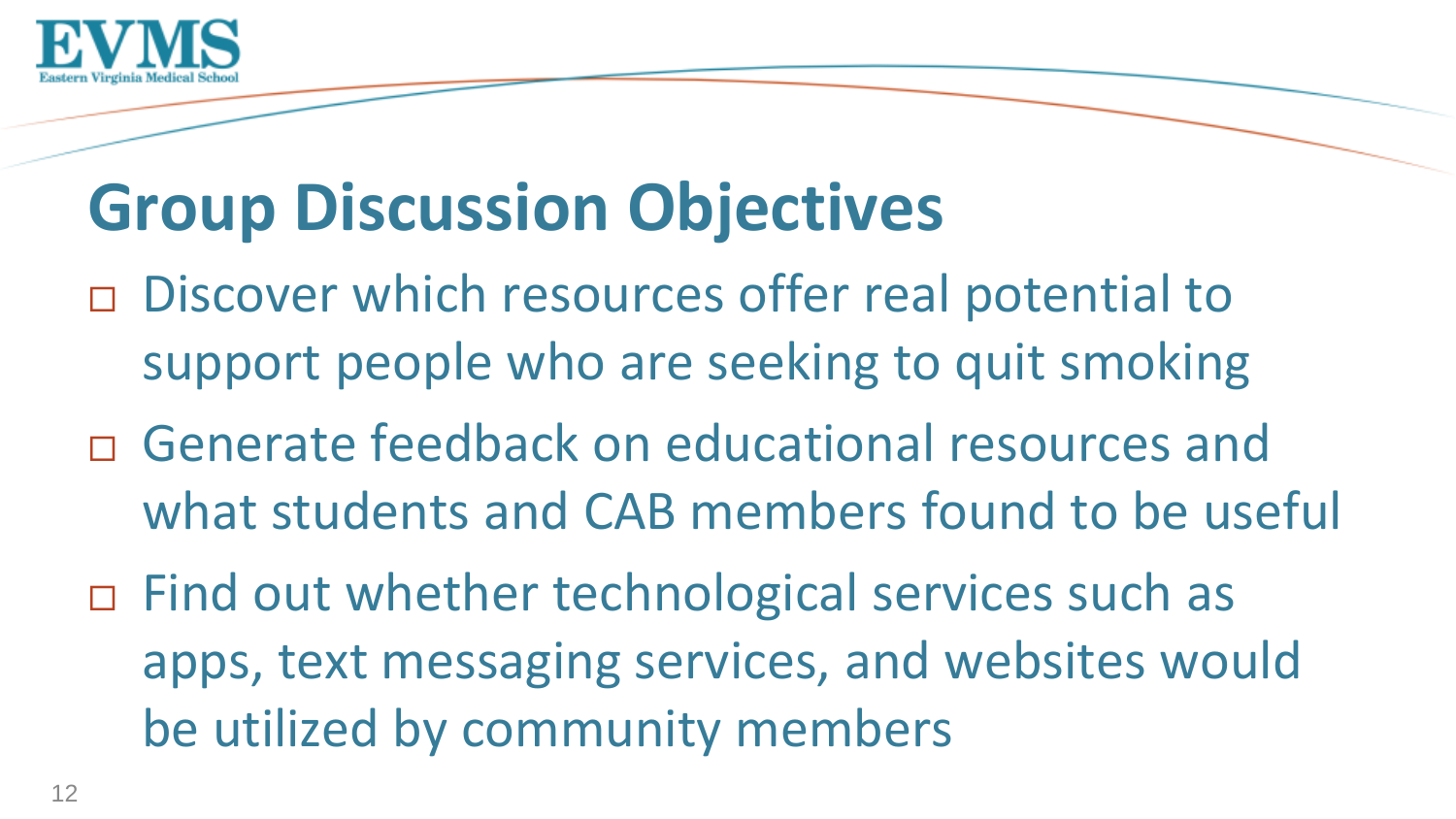

# **Group Discussion Objectives**

- □ Discover which resources offer real potential to support people who are seeking to quit smoking
- Generate feedback on educational resources and what students and CAB members found to be useful
- □ Find out whether technological services such as apps, text messaging services, and websites would be utilized by community members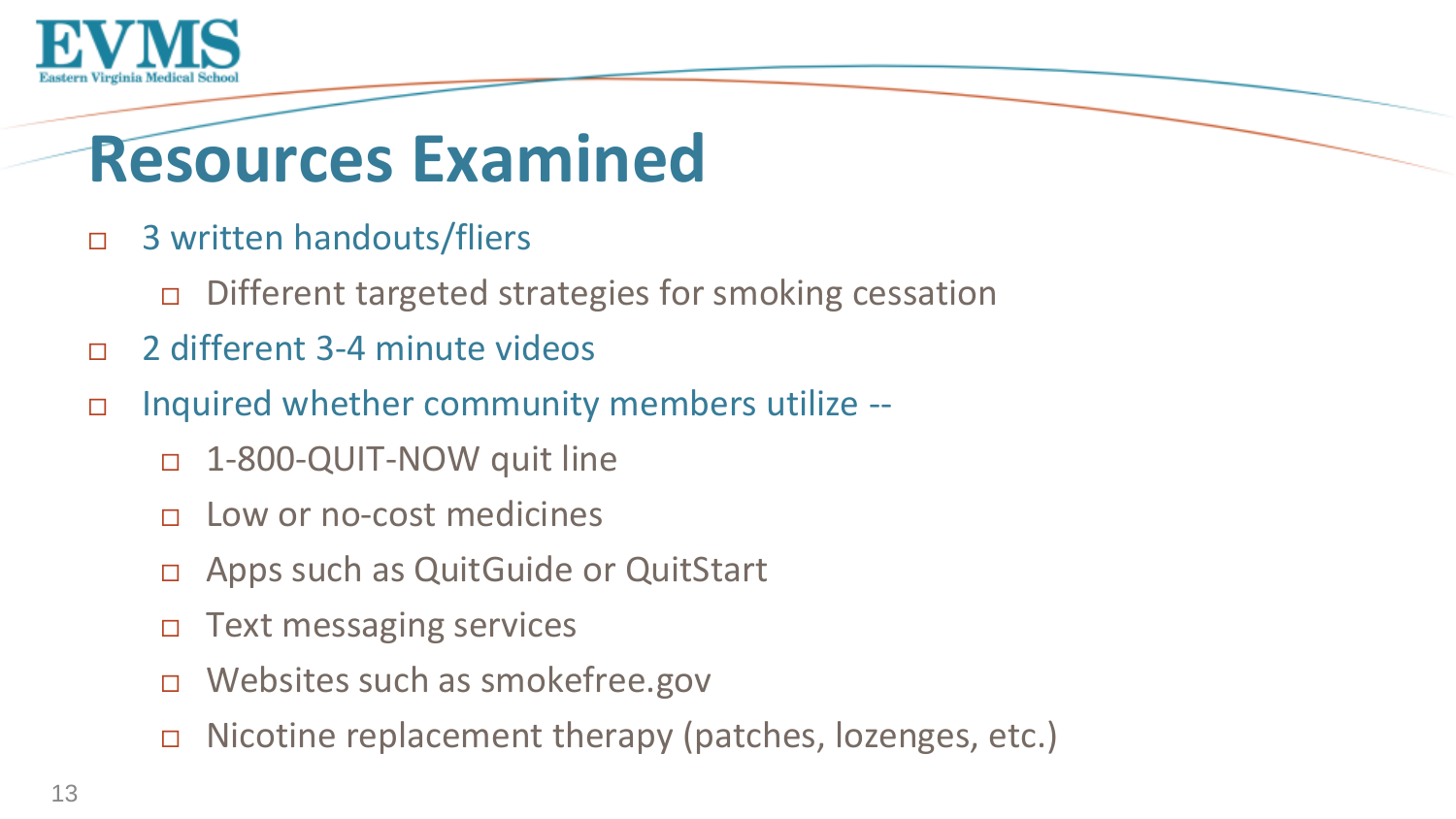

## **Resources Examined**

- □ 3 written handouts/fliers
	- $\Box$  Different targeted strategies for smoking cessation
- 2 different 3-4 minute videos
- Inquired whether community members utilize --
	- 1-800-QUIT-NOW quit line
	- Low or no-cost medicines
	- □ Apps such as QuitGuide or QuitStart
	- □ Text messaging services
	- Websites such as smokefree.gov
	- □ Nicotine replacement therapy (patches, lozenges, etc.)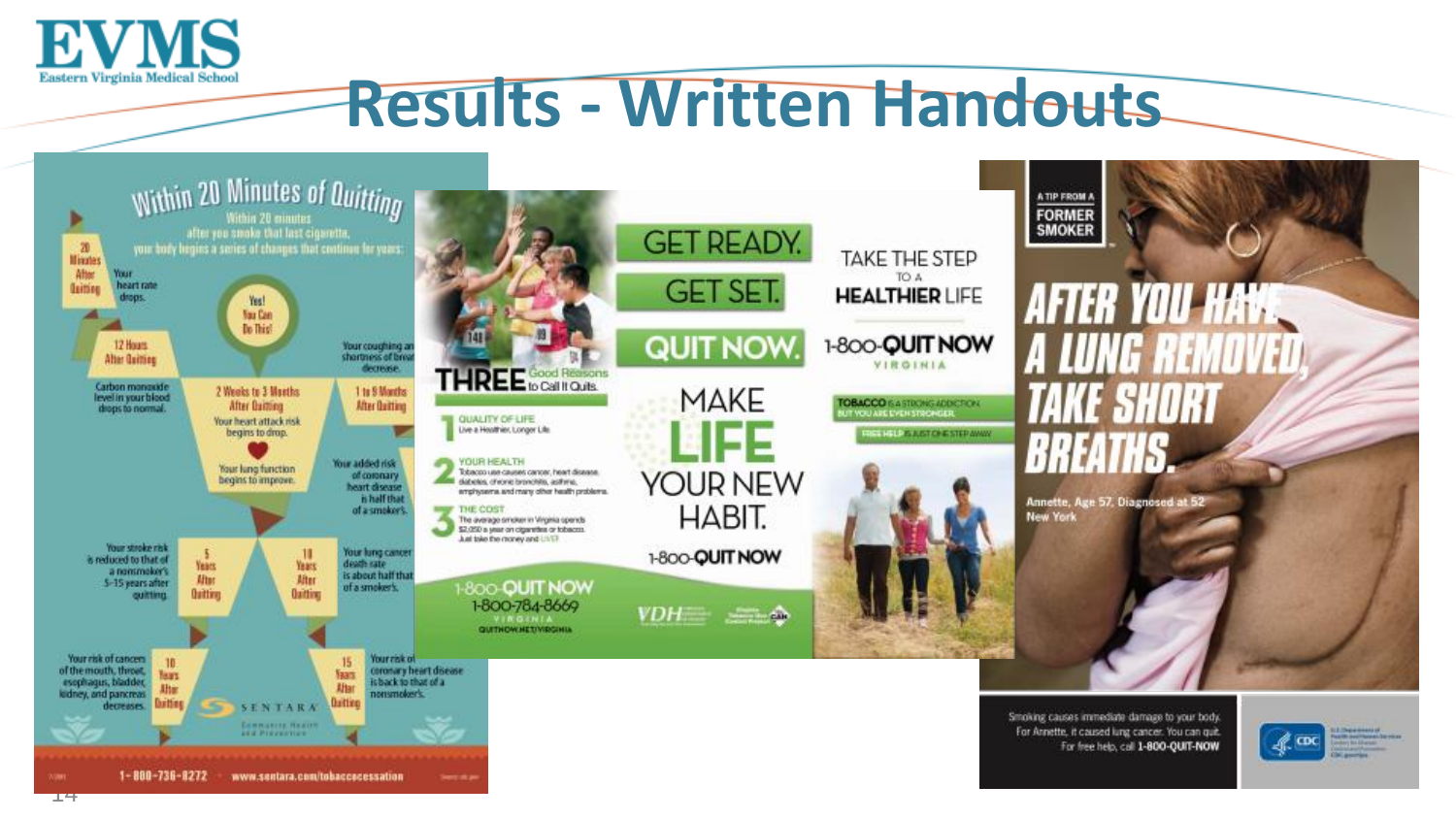

### **Results - Written Handouts**

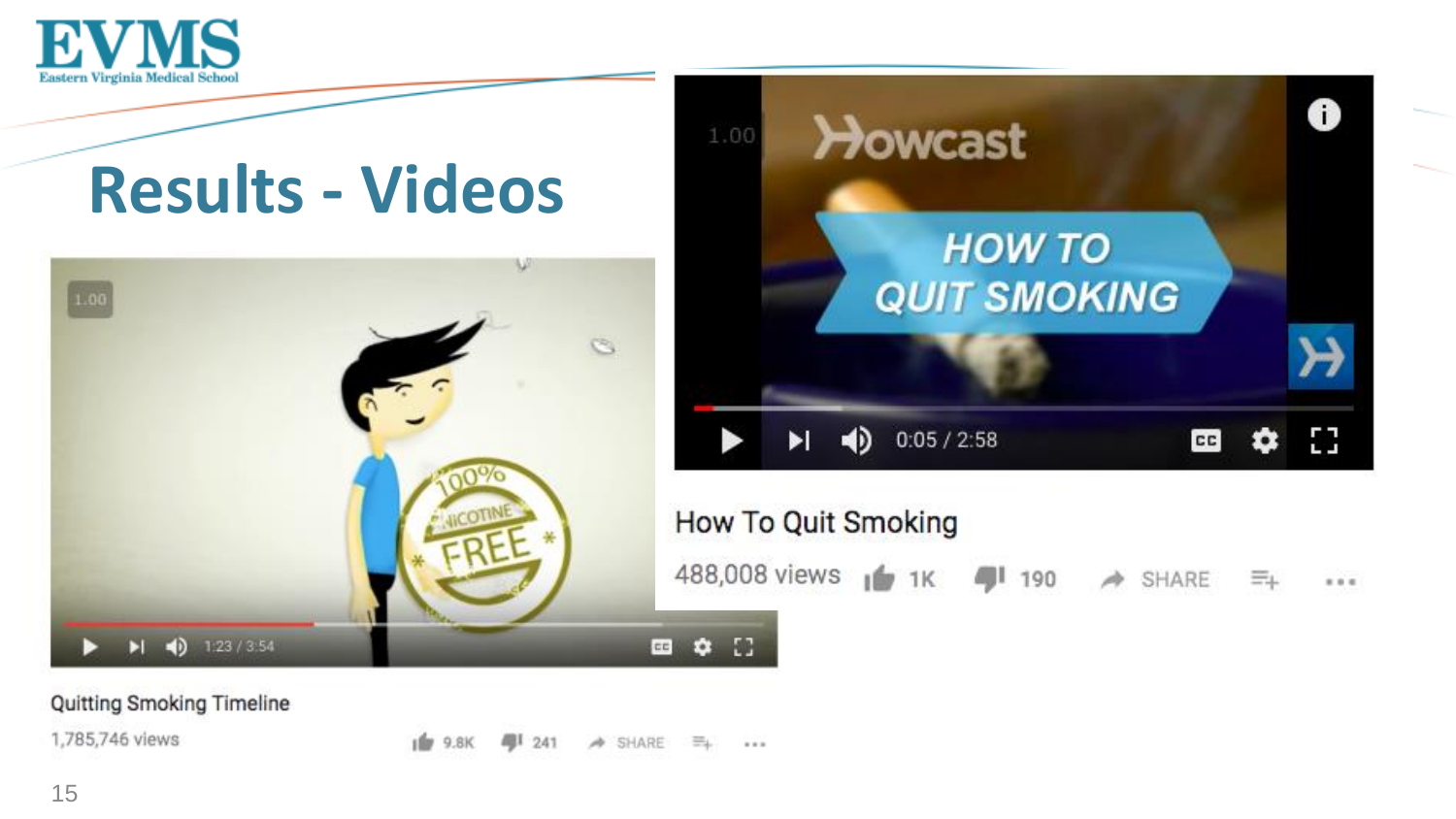

# **Results - Videos**





#### How To Quit Smoking

488,008 views (1 1K 4 190  $\Rightarrow$  SHARE \*\*\*

Quitting Smoking Timeline

1,785,746 views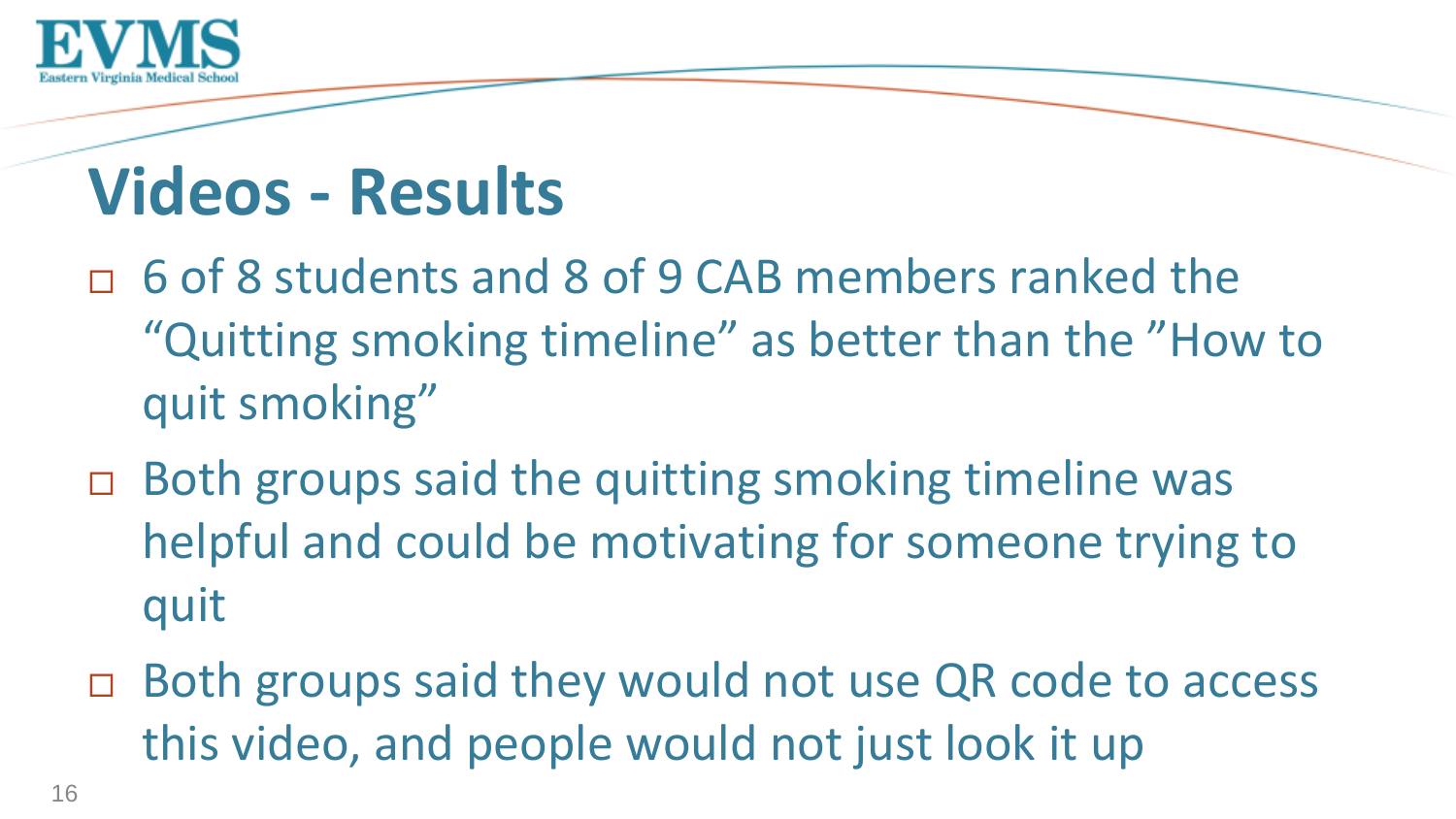

## **Videos - Results**

- $\Box$  6 of 8 students and 8 of 9 CAB members ranked the "Quitting smoking timeline" as better than the "How to quit smoking"
- □ Both groups said the quitting smoking timeline was helpful and could be motivating for someone trying to quit
- □ Both groups said they would not use QR code to access this video, and people would not just look it up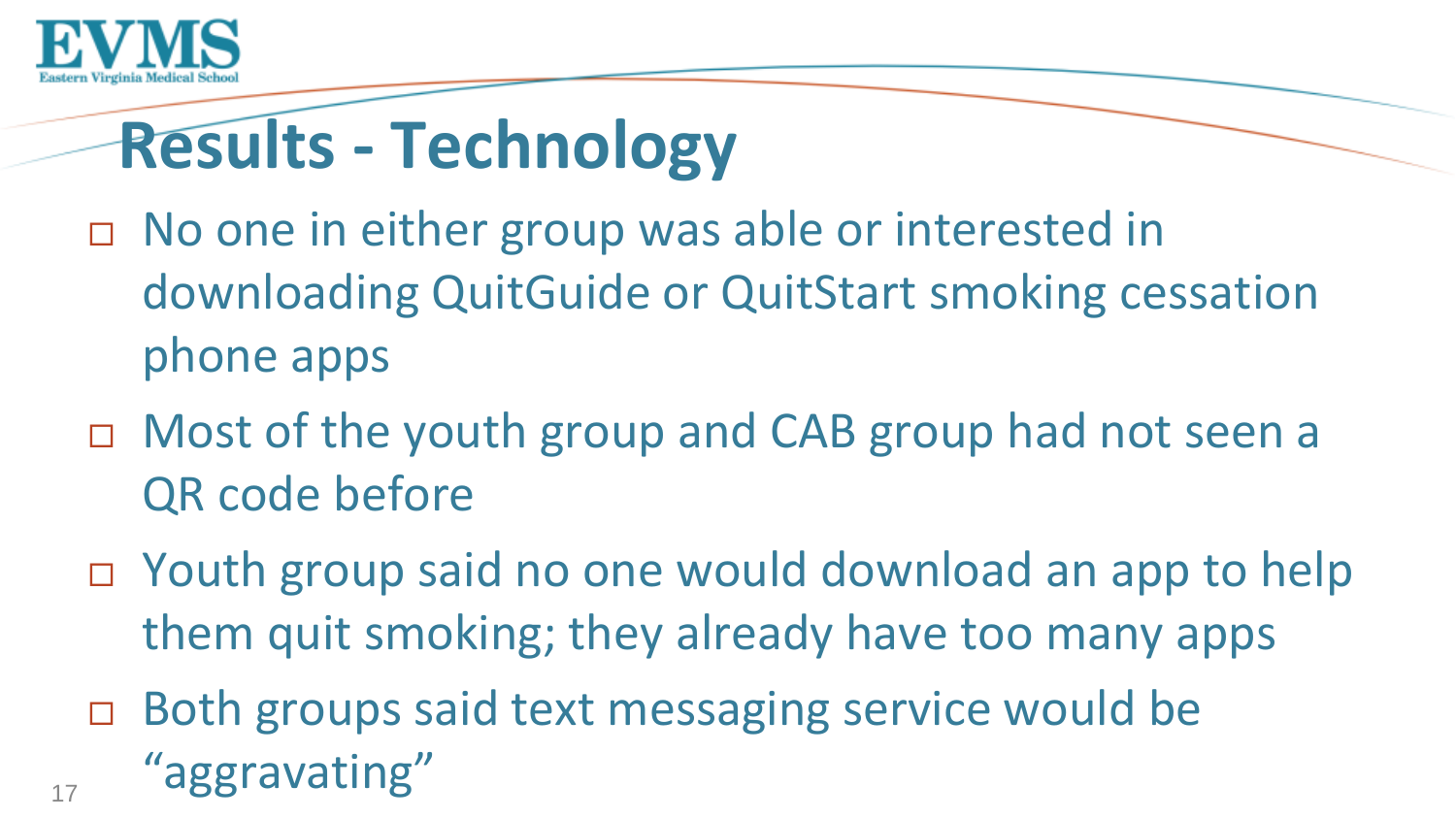

# **Results - Technology**

- □ No one in either group was able or interested in downloading QuitGuide or QuitStart smoking cessation phone apps
- □ Most of the youth group and CAB group had not seen a QR code before
- □ Youth group said no one would download an app to help them quit smoking; they already have too many apps
- □ Both groups said text messaging service would be "aggravating"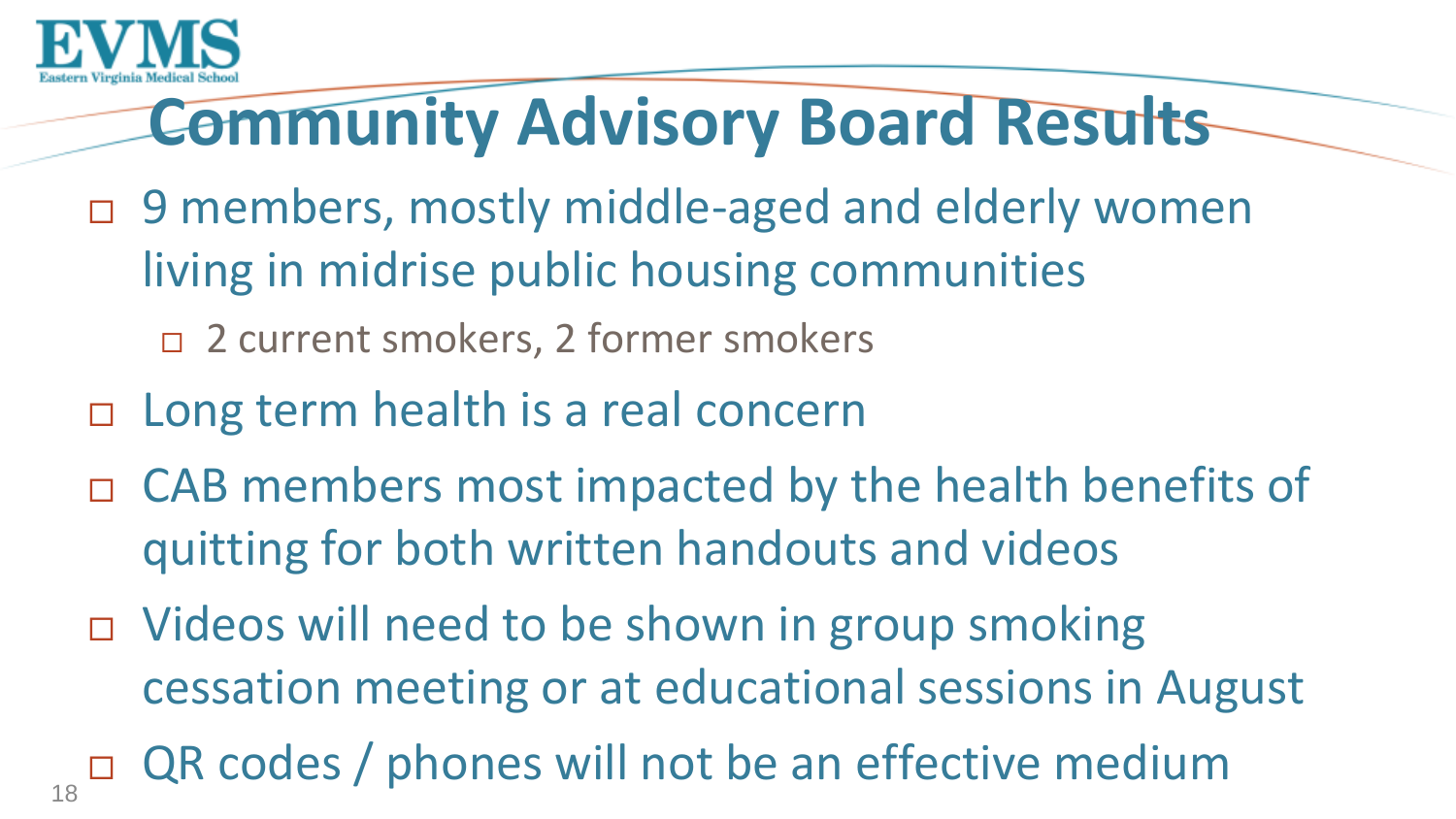

# **Community Advisory Board Results**

- □ 9 members, mostly middle-aged and elderly women living in midrise public housing communities
	- □ 2 current smokers, 2 former smokers
- □ Long term health is a real concern
- CAB members most impacted by the health benefits of quitting for both written handouts and videos
- □ Videos will need to be shown in group smoking cessation meeting or at educational sessions in August
- QR codes / phones will not be an effective medium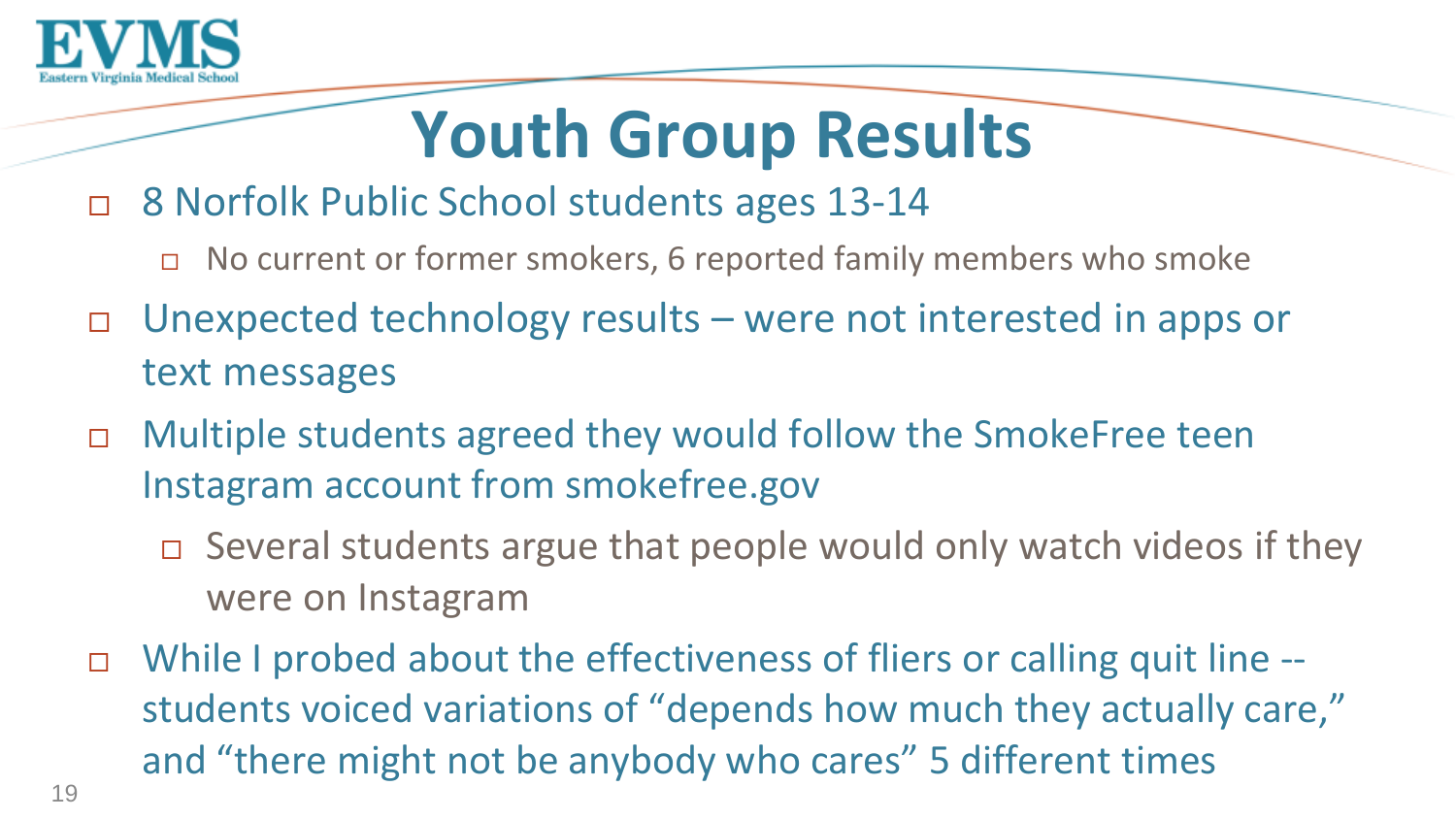

# **Youth Group Results**

#### □ 8 Norfolk Public School students ages 13-14

- $\Box$  No current or former smokers, 6 reported family members who smoke
- Unexpected technology results were not interested in apps or text messages
- □ Multiple students agreed they would follow the SmokeFree teen Instagram account from smokefree.gov
	- Several students argue that people would only watch videos if they were on Instagram
- While I probed about the effectiveness of fliers or calling quit line students voiced variations of "depends how much they actually care," and "there might not be anybody who cares" 5 different times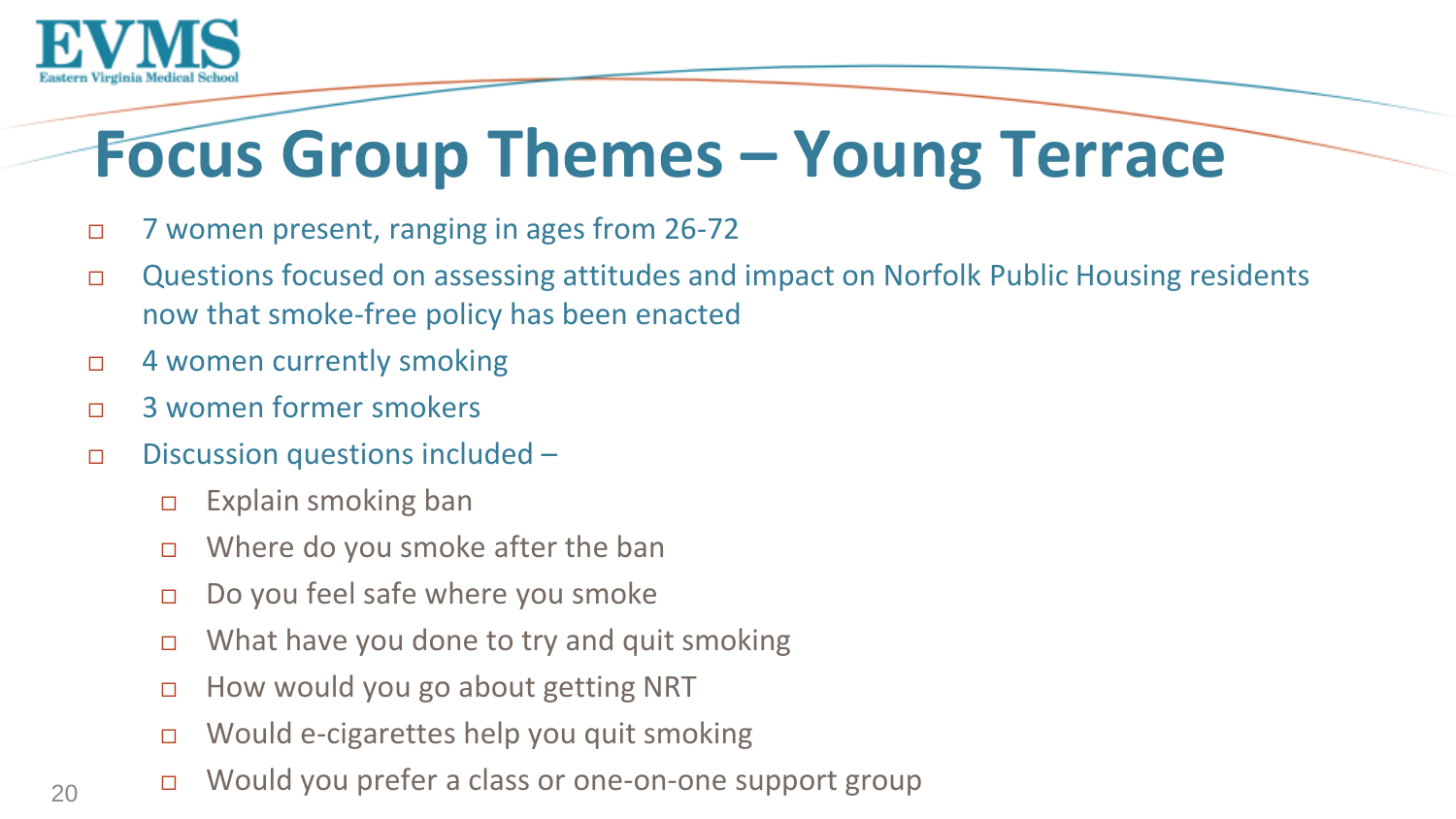

# **Focus Group Themes – Young Terrace**

- 7 women present, ranging in ages from 26-72
- □ Questions focused on assessing attitudes and impact on Norfolk Public Housing residents now that smoke-free policy has been enacted
- □ 4 women currently smoking
- 3 women former smokers
- $\Box$  Discussion questions included
	- $\Box$  Explain smoking ban
	- $\Box$  Where do you smoke after the ban
	- $\Box$  Do you feel safe where you smoke
	- $\Box$  What have you done to try and quit smoking
	- $\Box$  How would you go about getting NRT
	- Would e-cigarettes help you quit smoking
	- Would you prefer a class or one-on-one support group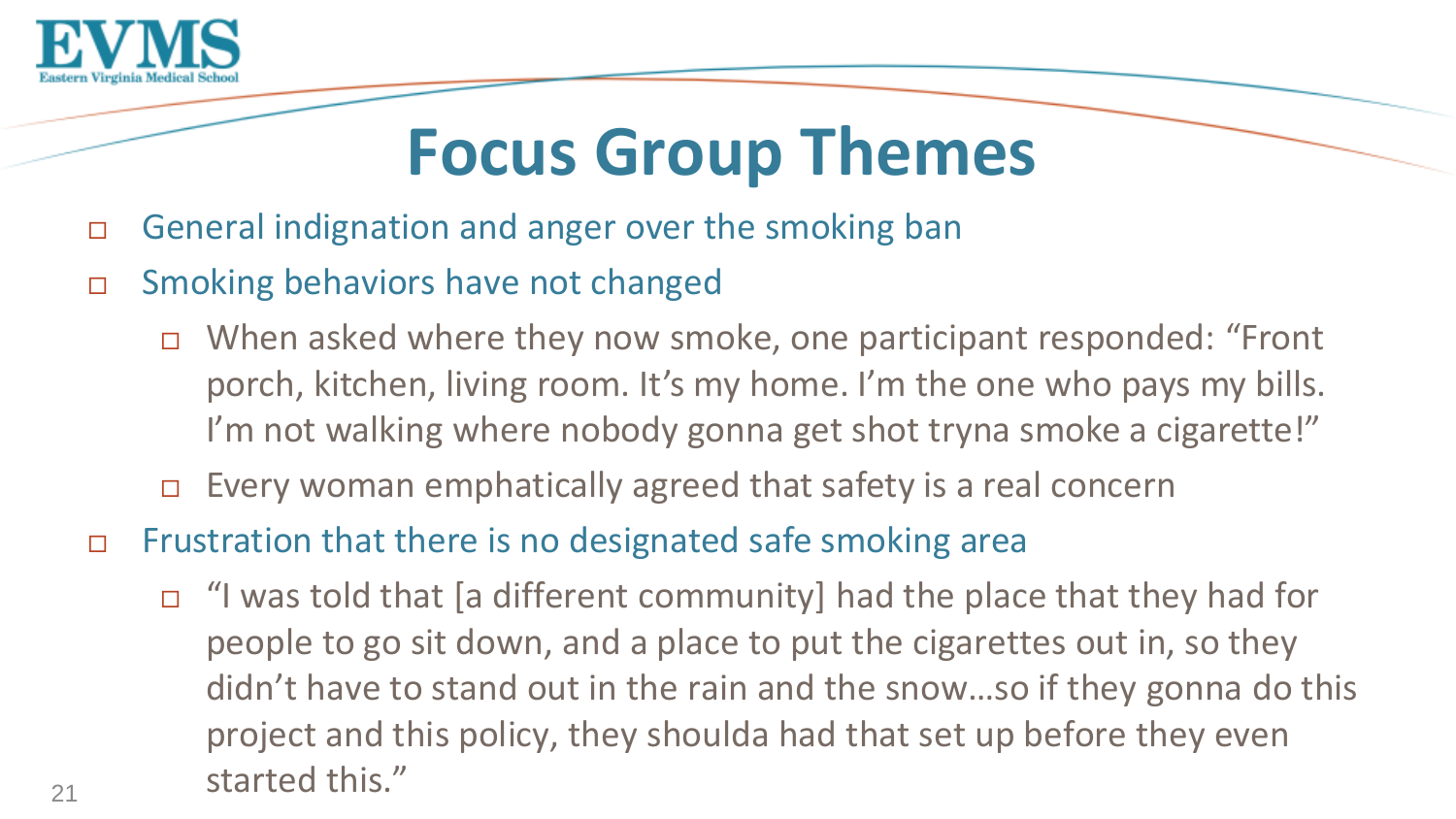

## **Focus Group Themes**

- □ General indignation and anger over the smoking ban
- Smoking behaviors have not changed
	- When asked where they now smoke, one participant responded: "Front porch, kitchen, living room. It's my home. I'm the one who pays my bills. I'm not walking where nobody gonna get shot tryna smoke a cigarette!"
	- $\Box$  Every woman emphatically agreed that safety is a real concern
- □ Frustration that there is no designated safe smoking area
	- $\Box$  "I was told that [a different community] had the place that they had for people to go sit down, and a place to put the cigarettes out in, so they didn't have to stand out in the rain and the snow…so if they gonna do this project and this policy, they shoulda had that set up before they even started this."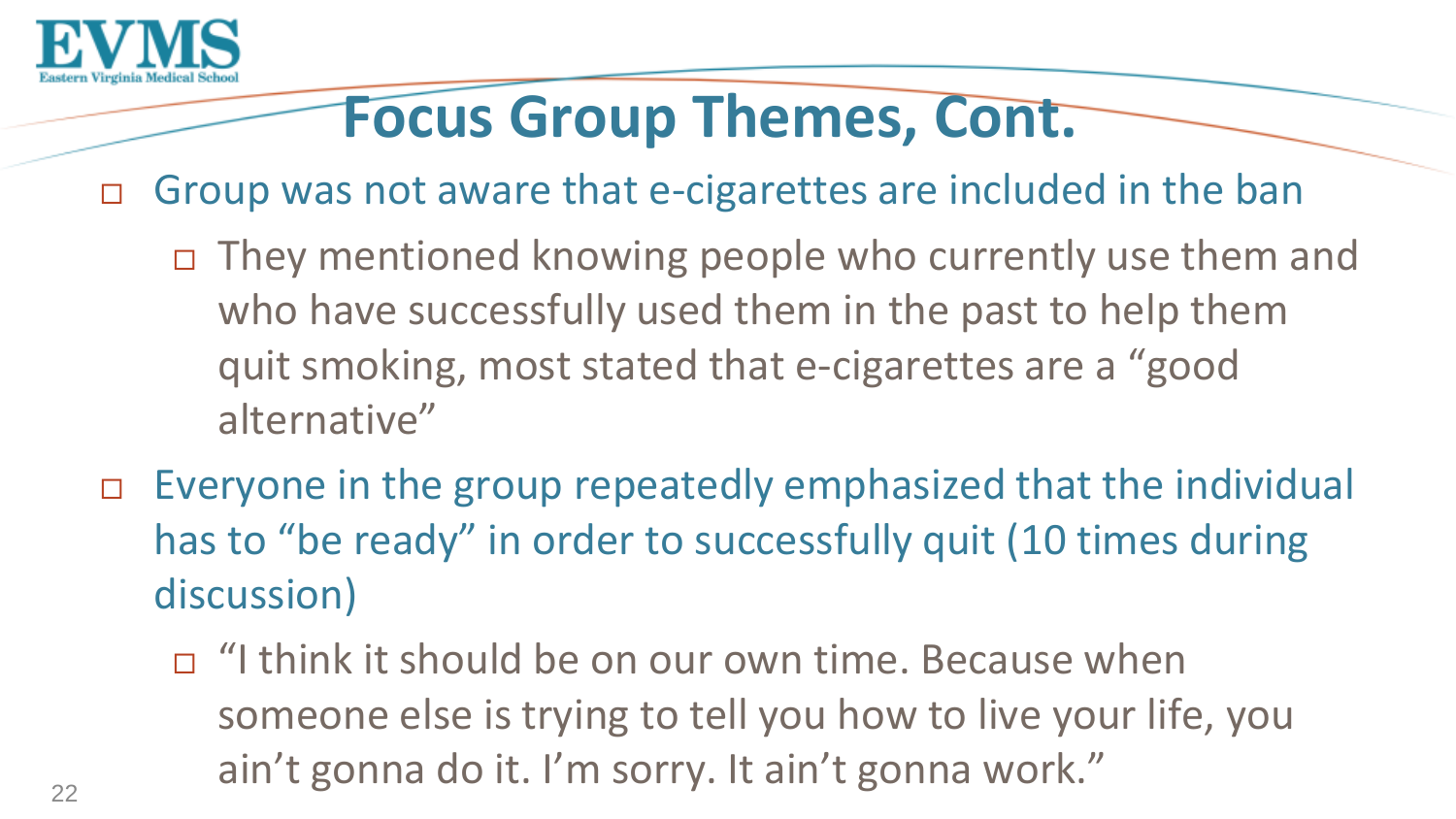

### **Focus Group Themes, Cont.**

- Group was not aware that e-cigarettes are included in the ban
	- They mentioned knowing people who currently use them and who have successfully used them in the past to help them quit smoking, most stated that e-cigarettes are a "good alternative"
- Everyone in the group repeatedly emphasized that the individual has to "be ready" in order to successfully quit (10 times during discussion)
	- $\Box$  "I think it should be on our own time. Because when someone else is trying to tell you how to live your life, you ain't gonna do it. I'm sorry. It ain't gonna work."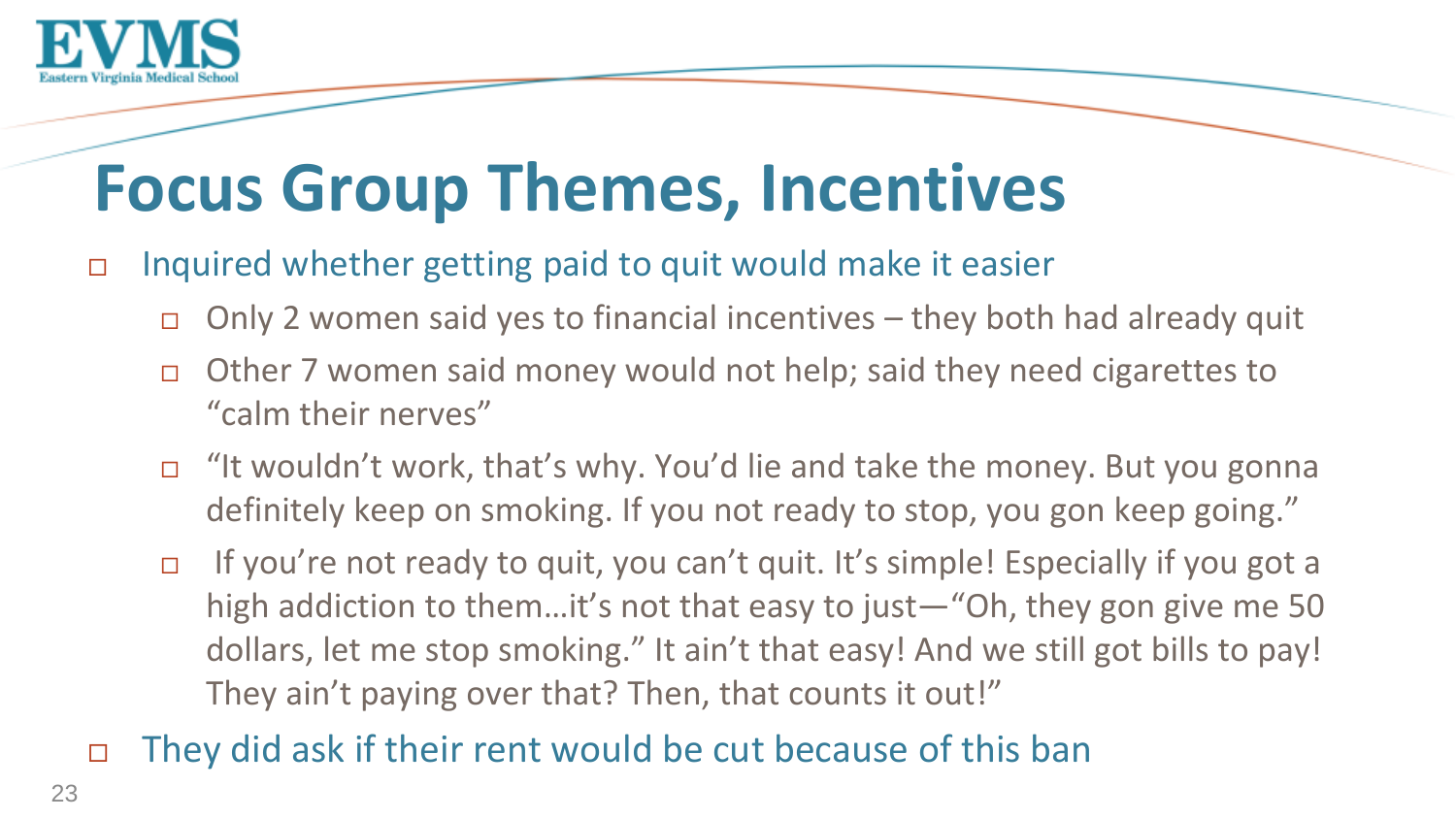

## **Focus Group Themes, Incentives**

#### $\Box$  Inquired whether getting paid to quit would make it easier

- $\Box$  Only 2 women said yes to financial incentives they both had already quit
- Other 7 women said money would not help; said they need cigarettes to "calm their nerves"
- "It wouldn't work, that's why. You'd lie and take the money. But you gonna definitely keep on smoking. If you not ready to stop, you gon keep going."
- If you're not ready to quit, you can't quit. It's simple! Especially if you got a high addiction to them…it's not that easy to just—"Oh, they gon give me 50 dollars, let me stop smoking." It ain't that easy! And we still got bills to pay! They ain't paying over that? Then, that counts it out!"

#### They did ask if their rent would be cut because of this ban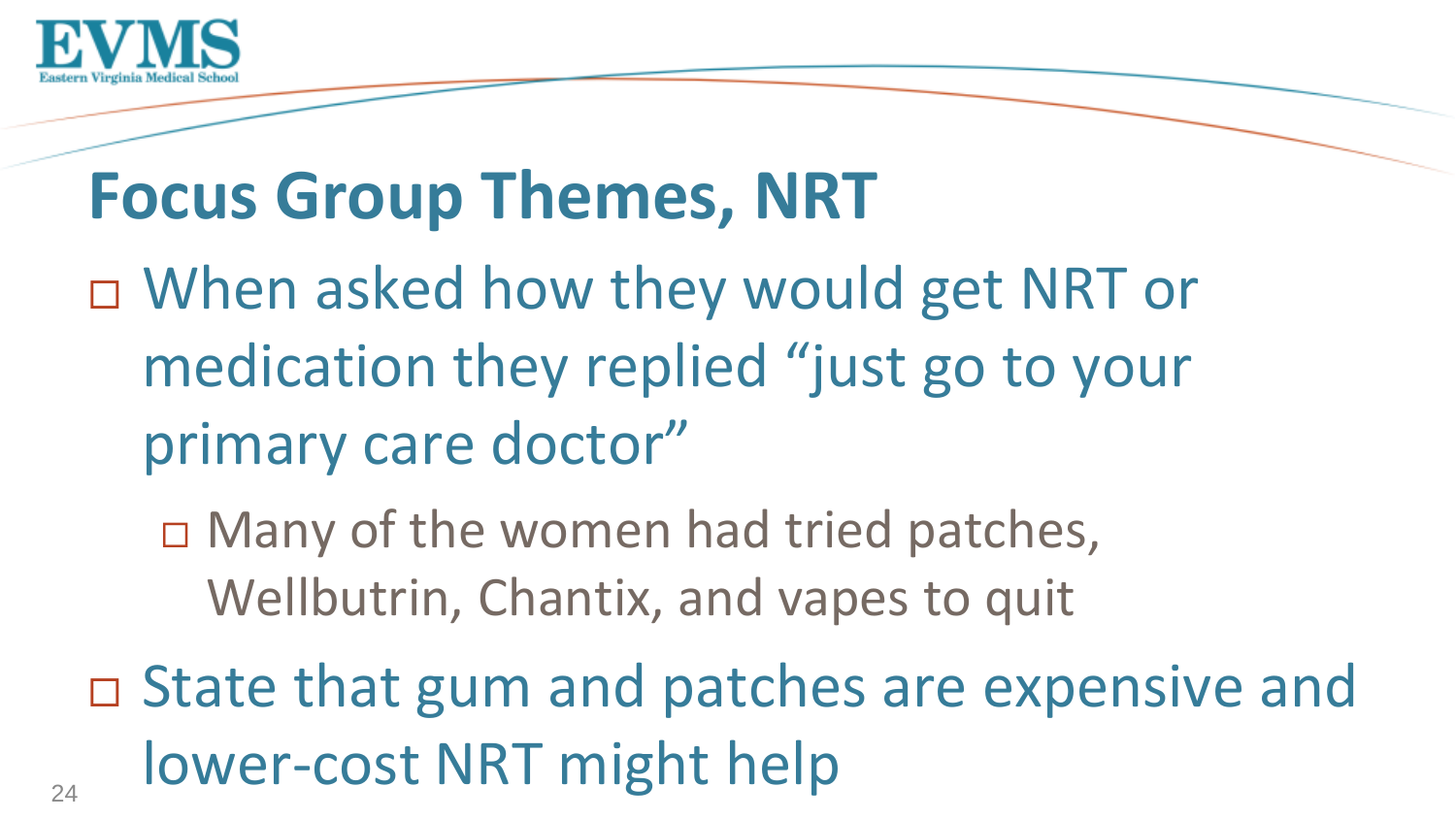

## **Focus Group Themes, NRT**

- □ When asked how they would get NRT or medication they replied "just go to your primary care doctor"
	- □ Many of the women had tried patches, Wellbutrin, Chantix, and vapes to quit
- □ State that gum and patches are expensive and lower-cost NRT might help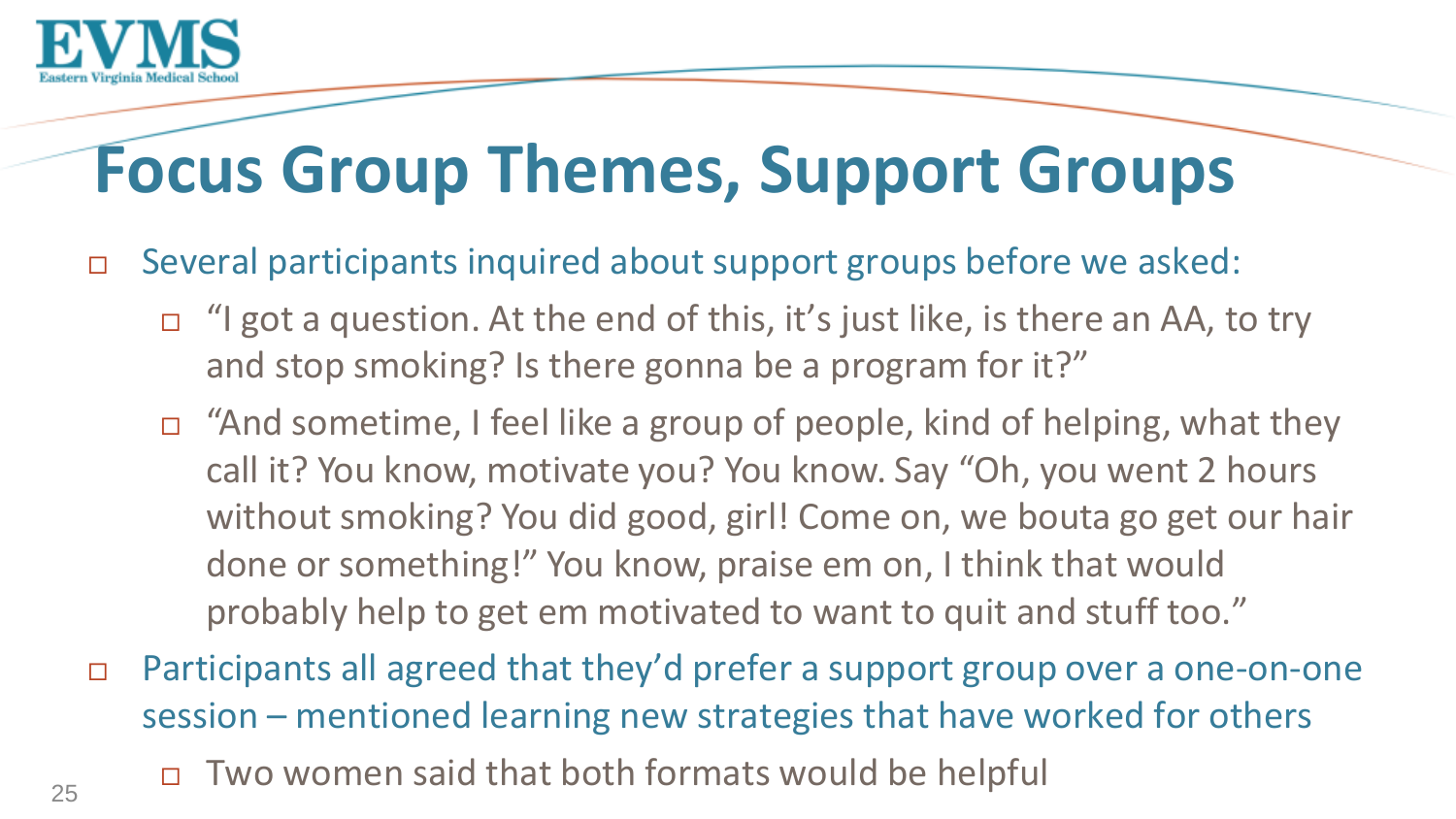

# **Focus Group Themes, Support Groups**

- □ Several participants inquired about support groups before we asked:
	- □ "I got a question. At the end of this, it's just like, is there an AA, to try and stop smoking? Is there gonna be a program for it?"
	- "And sometime, I feel like a group of people, kind of helping, what they call it? You know, motivate you? You know. Say "Oh, you went 2 hours without smoking? You did good, girl! Come on, we bouta go get our hair done or something!" You know, praise em on, I think that would probably help to get em motivated to want to quit and stuff too."
- Participants all agreed that they'd prefer a support group over a one-on-one session – mentioned learning new strategies that have worked for others
	- Two women said that both formats would be helpful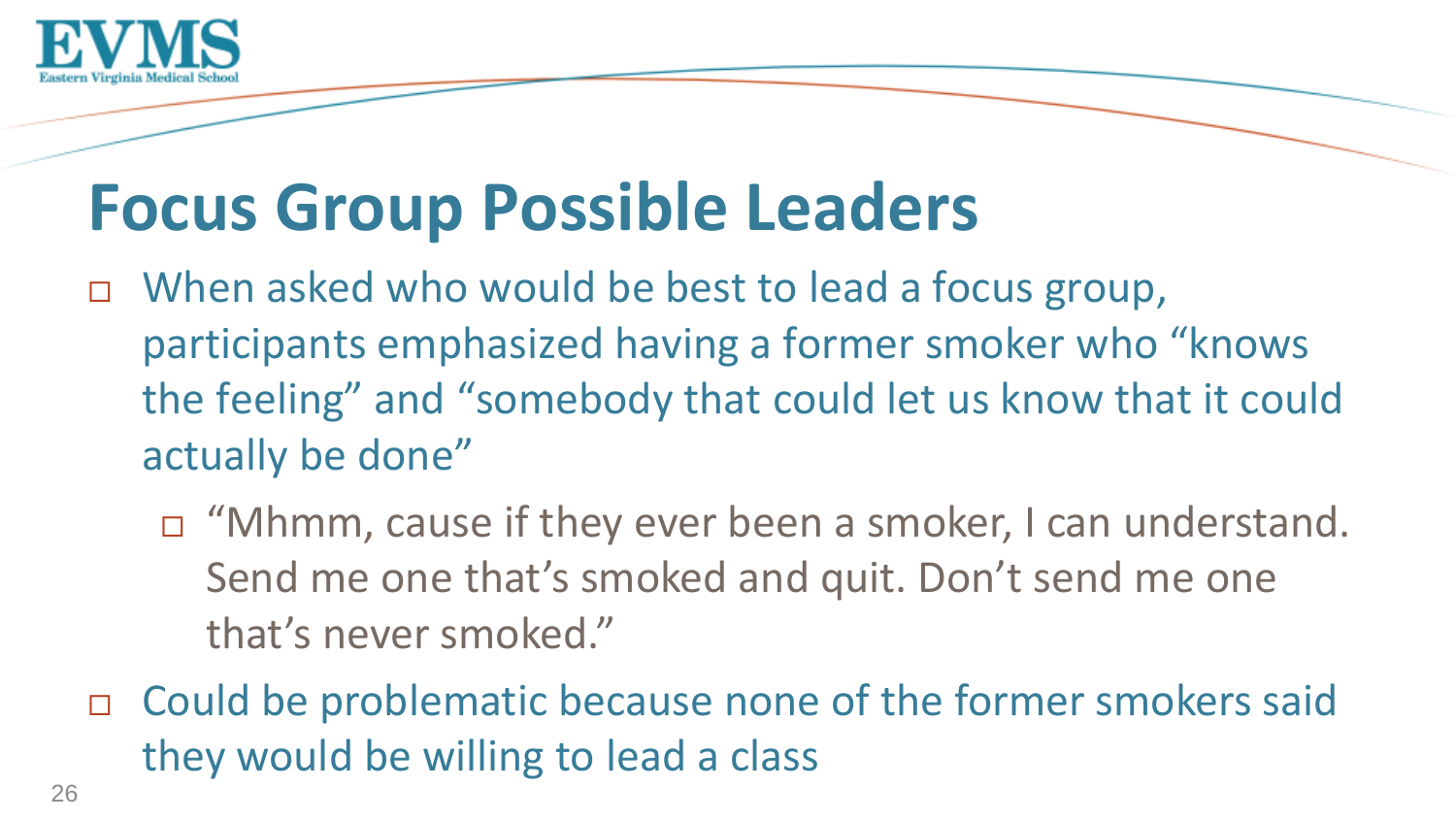

## **Focus Group Possible Leaders**

- □ When asked who would be best to lead a focus group, participants emphasized having a former smoker who "knows the feeling" and "somebody that could let us know that it could actually be done"
	- "Mhmm, cause if they ever been a smoker, I can understand. Send me one that's smoked and quit. Don't send me one that's never smoked."
- □ Could be problematic because none of the former smokers said they would be willing to lead a class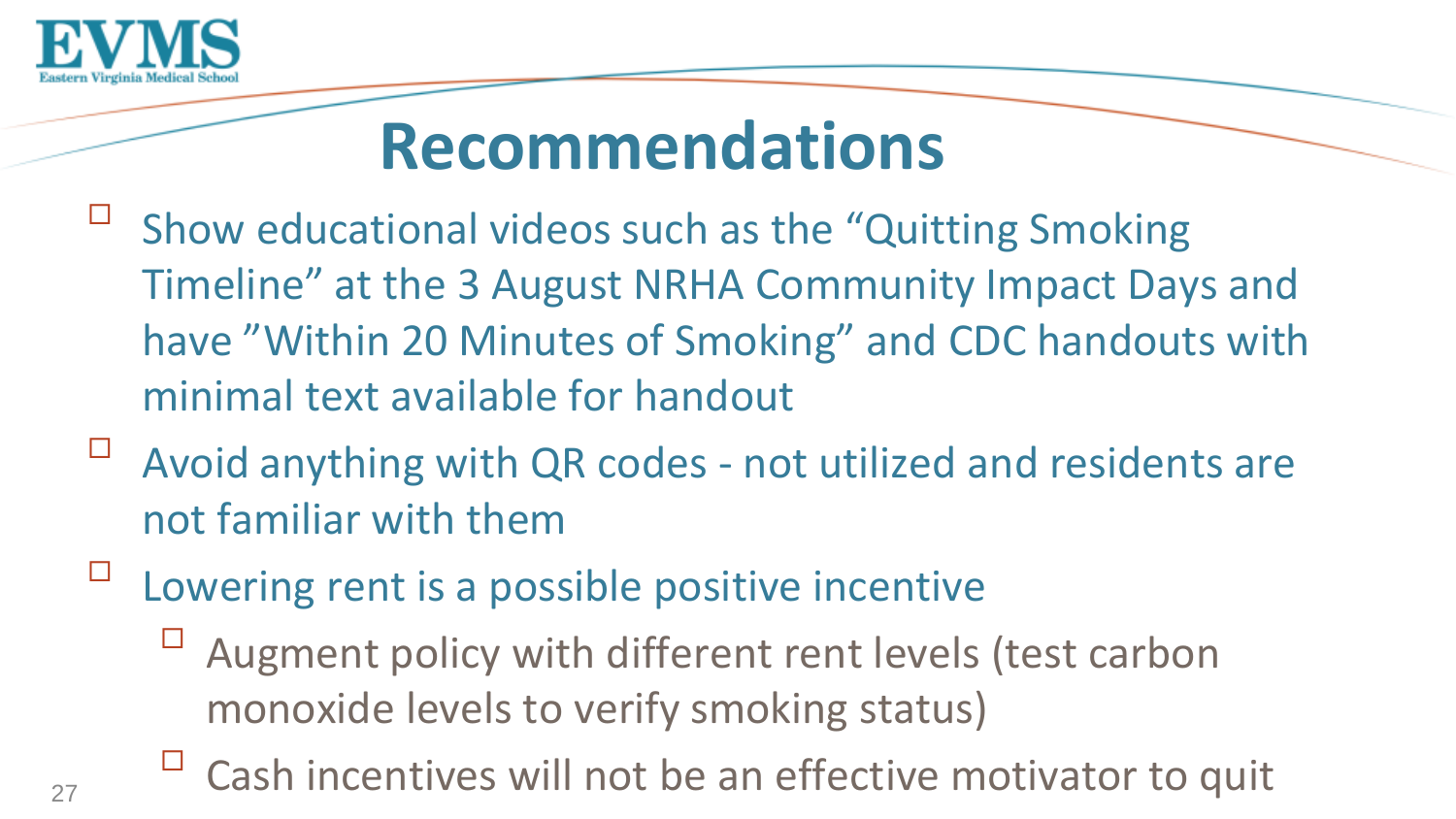

## **Recommendations**

- $\Box$ Show educational videos such as the "Quitting Smoking Timeline" at the 3 August NRHA Community Impact Days and have "Within 20 Minutes of Smoking" and CDC handouts with minimal text available for handout
- Avoid anything with QR codes not utilized and residents are not familiar with them
- $\Box$ Lowering rent is a possible positive incentive
	- Augment policy with different rent levels (test carbon monoxide levels to verify smoking status)
	- $\Box$  Cash incentives will not be an effective motivator to quit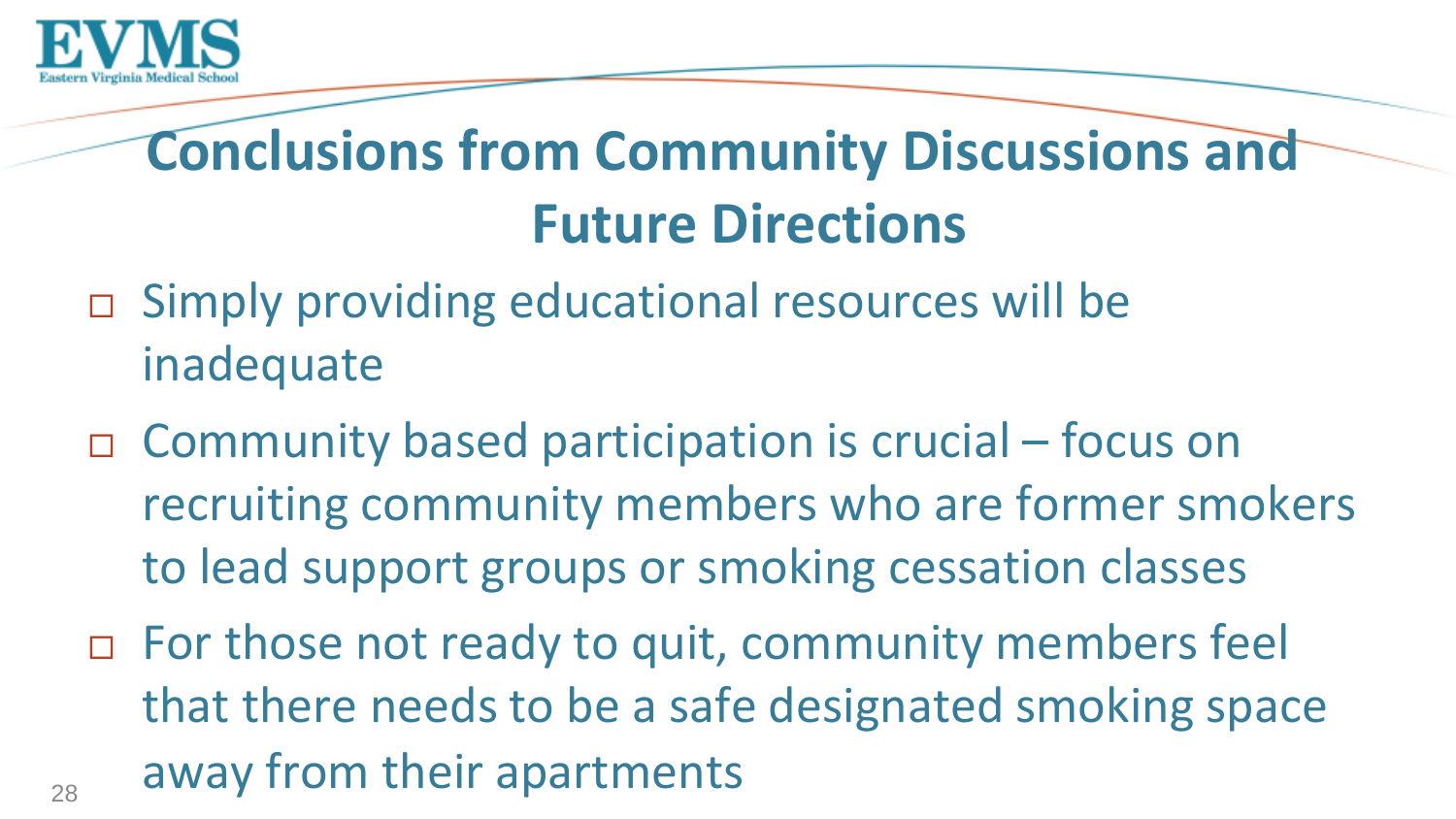

## **Conclusions from Community Discussions and Future Directions**

- Simply providing educational resources will be inadequate
- □ Community based participation is crucial focus on recruiting community members who are former smokers to lead support groups or smoking cessation classes
- □ For those not ready to quit, community members feel that there needs to be a safe designated smoking space away from their apartments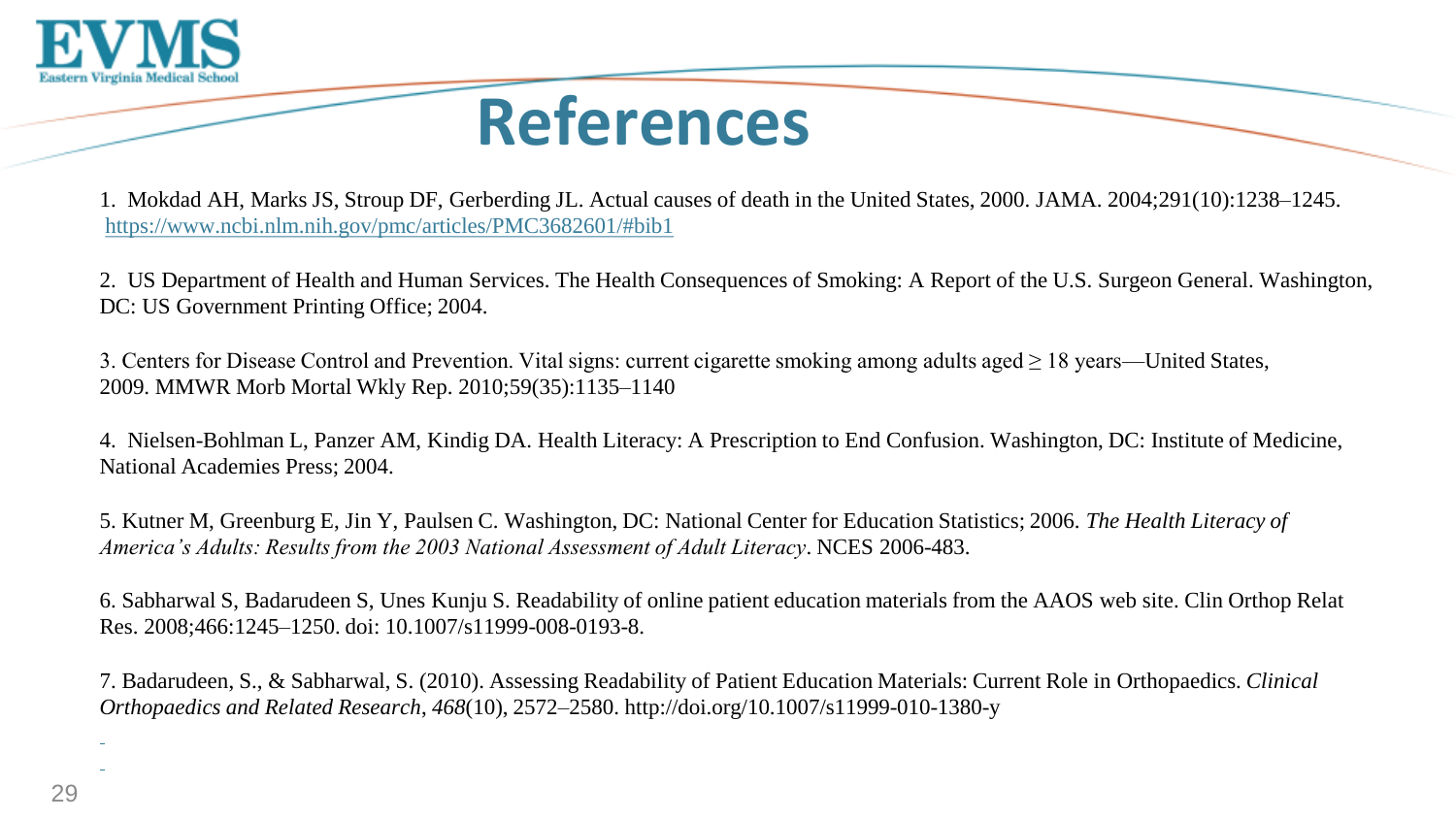

### **References**

1. Mokdad AH, Marks JS, Stroup DF, Gerberding JL. Actual causes of death in the United States, 2000. JAMA. 2004;291(10):1238–1245. [https://www.ncbi.nlm.nih.gov/pmc/articles/PMC3682601/#bib1](https://www.ncbi.nlm.nih.gov/pmc/articles/PMC3682601/)

2. US Department of Health and Human Services. The Health Consequences of Smoking: A Report of the U.S. Surgeon General. Washington, DC: US Government Printing Office; 2004.

3. Centers for Disease Control and Prevention. Vital signs: current cigarette smoking among adults aged ≥ 18 years—United States, 2009. MMWR Morb Mortal Wkly Rep. 2010;59(35):1135–1140

4. Nielsen-Bohlman L, Panzer AM, Kindig DA. Health Literacy: A Prescription to End Confusion. Washington, DC: Institute of Medicine, National Academies Press; 2004.

5. Kutner M, Greenburg E, Jin Y, Paulsen C. Washington, DC: National Center for Education Statistics; 2006. *The Health Literacy of America's Adults: Results from the 2003 National Assessment of Adult Literacy*. NCES 2006-483.

6. Sabharwal S, Badarudeen S, Unes Kunju S. Readability of online patient education materials from the AAOS web site. Clin Orthop Relat Res. 2008;466:1245–1250. doi: 10.1007/s11999-008-0193-8.

7. Badarudeen, S., & Sabharwal, S. (2010). Assessing Readability of Patient Education Materials: Current Role in Orthopaedics. *Clinical Orthopaedics and Related Research*, *468*(10), 2572–2580. http://doi.org/10.1007/s11999-010-1380-y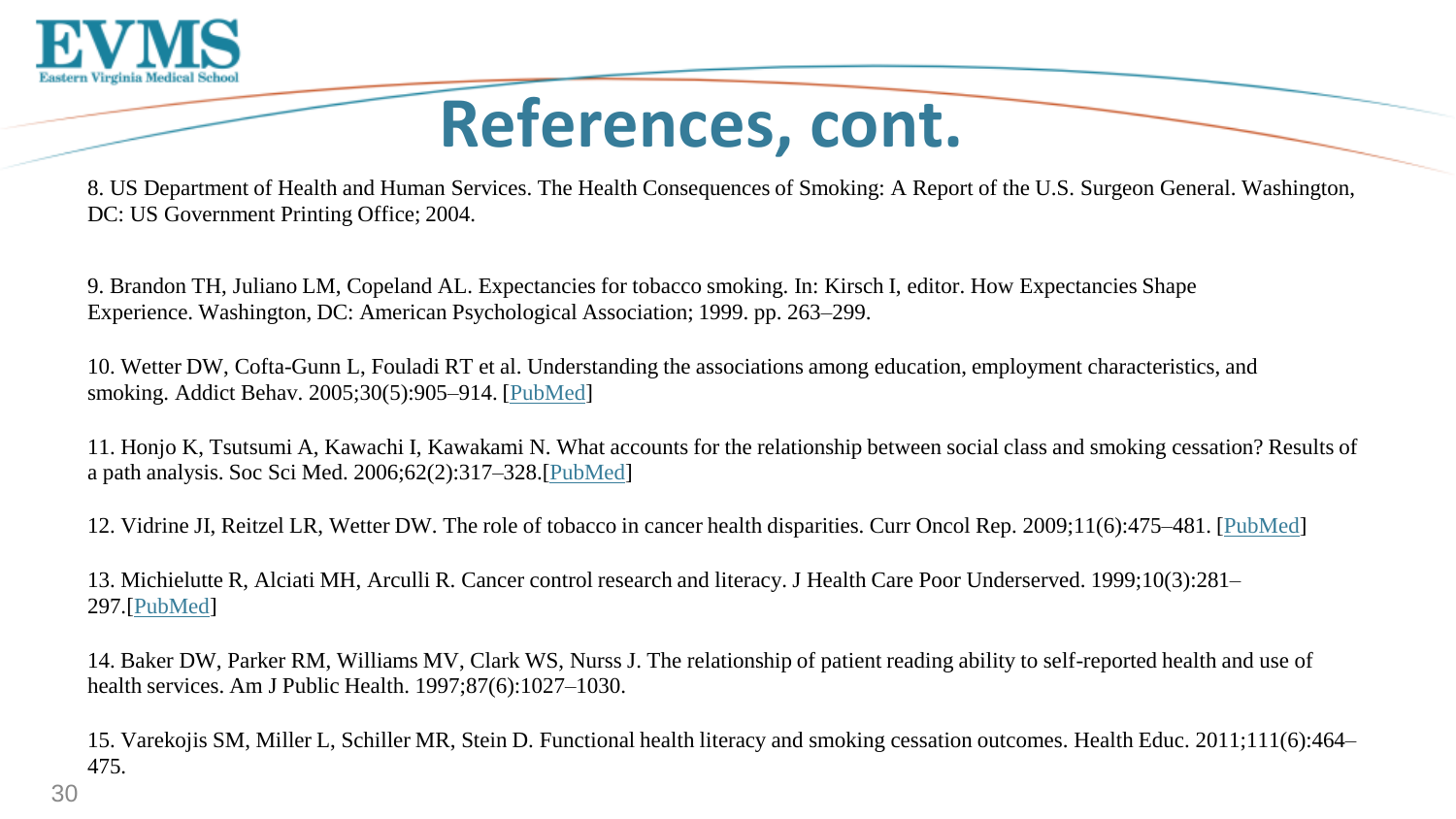

## **References, cont.**

8. US Department of Health and Human Services. The Health Consequences of Smoking: A Report of the U.S. Surgeon General. Washington, DC: US Government Printing Office; 2004.

9. Brandon TH, Juliano LM, Copeland AL. Expectancies for tobacco smoking. In: Kirsch I, editor. How Expectancies Shape Experience. Washington, DC: American Psychological Association; 1999. pp. 263–299.

10. Wetter DW, Cofta-Gunn L, Fouladi RT et al. Understanding the associations among education, employment characteristics, and smoking. Addict Behav. 2005;30(5):905–914. [\[PubMed\]](https://www.ncbi.nlm.nih.gov/pubmed/15893088)

11. Honjo K, Tsutsumi A, Kawachi I, Kawakami N. What accounts for the relationship between social class and smoking cessation? Results of a path analysis. Soc Sci Med. 2006;62(2):317–328.[[PubMed](https://www.ncbi.nlm.nih.gov/pubmed/16039765)]

12. Vidrine JI, Reitzel LR, Wetter DW. The role of tobacco in cancer health disparities. Curr Oncol Rep. 2009;11(6):475–481. [\[PubMed\]](https://www.ncbi.nlm.nih.gov/pubmed/19840525)

13. Michielutte R, Alciati MH, Arculli R. Cancer control research and literacy. J Health Care Poor Underserved. 1999;10(3):281– 297.[\[PubMed\]](https://www.ncbi.nlm.nih.gov/pubmed/10436728)

14. Baker DW, Parker RM, Williams MV, Clark WS, Nurss J. The relationship of patient reading ability to self-reported health and use of health services. Am J Public Health. 1997;87(6):1027–1030.

15. Varekojis SM, Miller L, Schiller MR, Stein D. Functional health literacy and smoking cessation outcomes. Health Educ. 2011;111(6):464– 475.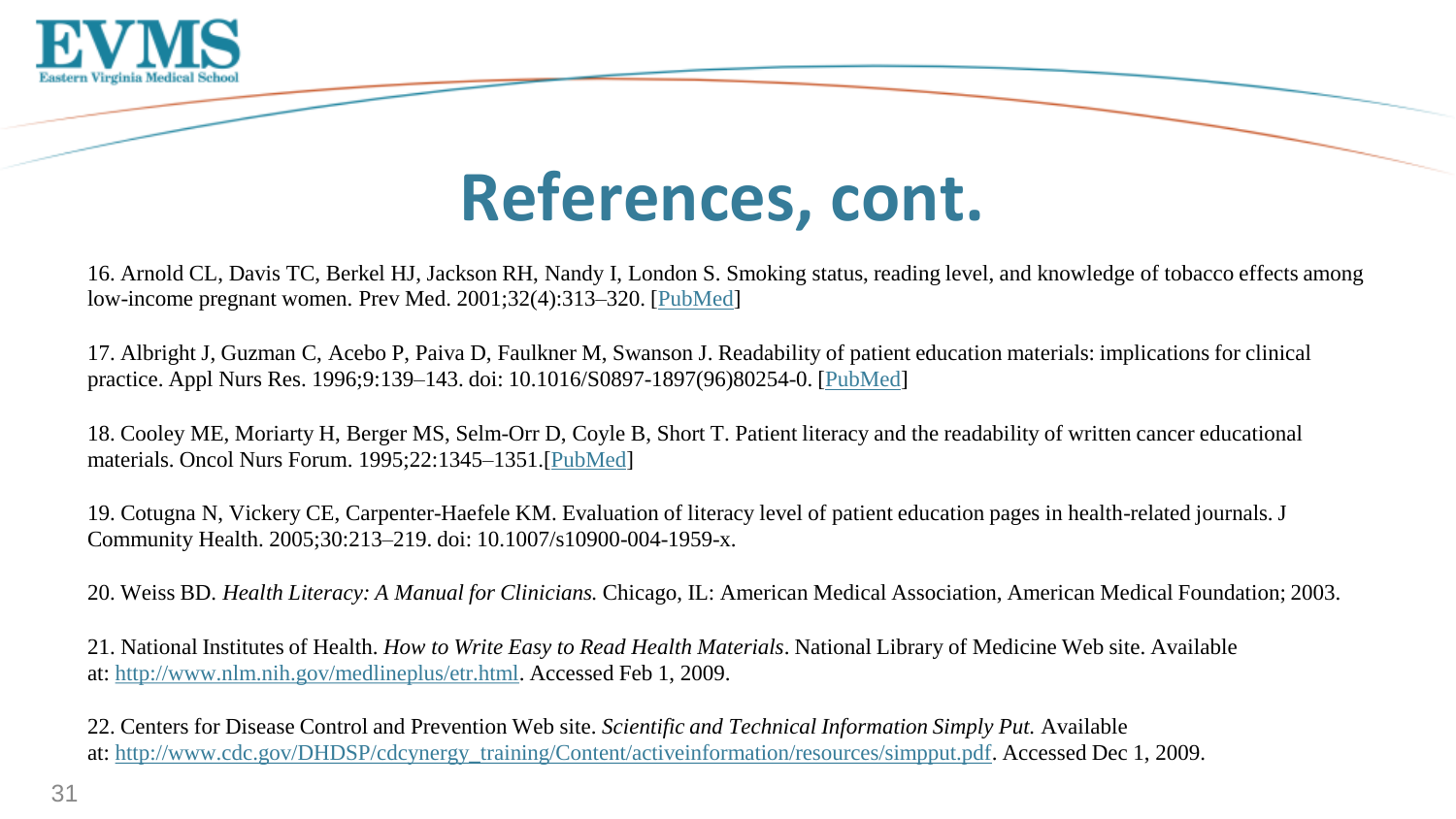

### **References, cont.**

16. Arnold CL, Davis TC, Berkel HJ, Jackson RH, Nandy I, London S. Smoking status, reading level, and knowledge of tobacco effects among low-income pregnant women. Prev Med. 2001;32(4):313–320. [\[PubMed\]](https://www.ncbi.nlm.nih.gov/pubmed/11304092)

17. Albright J, Guzman C, Acebo P, Paiva D, Faulkner M, Swanson J. Readability of patient education materials: implications for clinical practice. Appl Nurs Res. 1996;9:139–143. doi: 10.1016/S0897-1897(96)80254-0. [\[PubMed\]](https://www.ncbi.nlm.nih.gov/pubmed/8771859)

18. Cooley ME, Moriarty H, Berger MS, Selm-Orr D, Coyle B, Short T. Patient literacy and the readability of written cancer educational materials. Oncol Nurs Forum. 1995;22:1345–1351.[\[PubMed\]](https://www.ncbi.nlm.nih.gov/pubmed/8539175)

19. Cotugna N, Vickery CE, Carpenter-Haefele KM. Evaluation of literacy level of patient education pages in health-related journals. J Community Health. 2005;30:213–219. doi: 10.1007/s10900-004-1959-x.

20. Weiss BD. *Health Literacy: A Manual for Clinicians.* Chicago, IL: American Medical Association, American Medical Foundation; 2003.

21. National Institutes of Health. *How to Write Easy to Read Health Materials*. National Library of Medicine Web site. Available at: [http://www.nlm.nih.gov/medlineplus/etr.html.](http://www.nlm.nih.gov/medlineplus/etr.html) Accessed Feb 1, 2009.

22. Centers for Disease Control and Prevention Web site. *Scientific and Technical Information Simply Put.* Available at: [http://www.cdc.gov/DHDSP/cdcynergy\\_training/Content/activeinformation/resources/simpput.pdf.](http://www.cdc.gov/DHDSP/cdcynergy_training/Content/activeinformation/resources/simpput.pdf) Accessed Dec 1, 2009.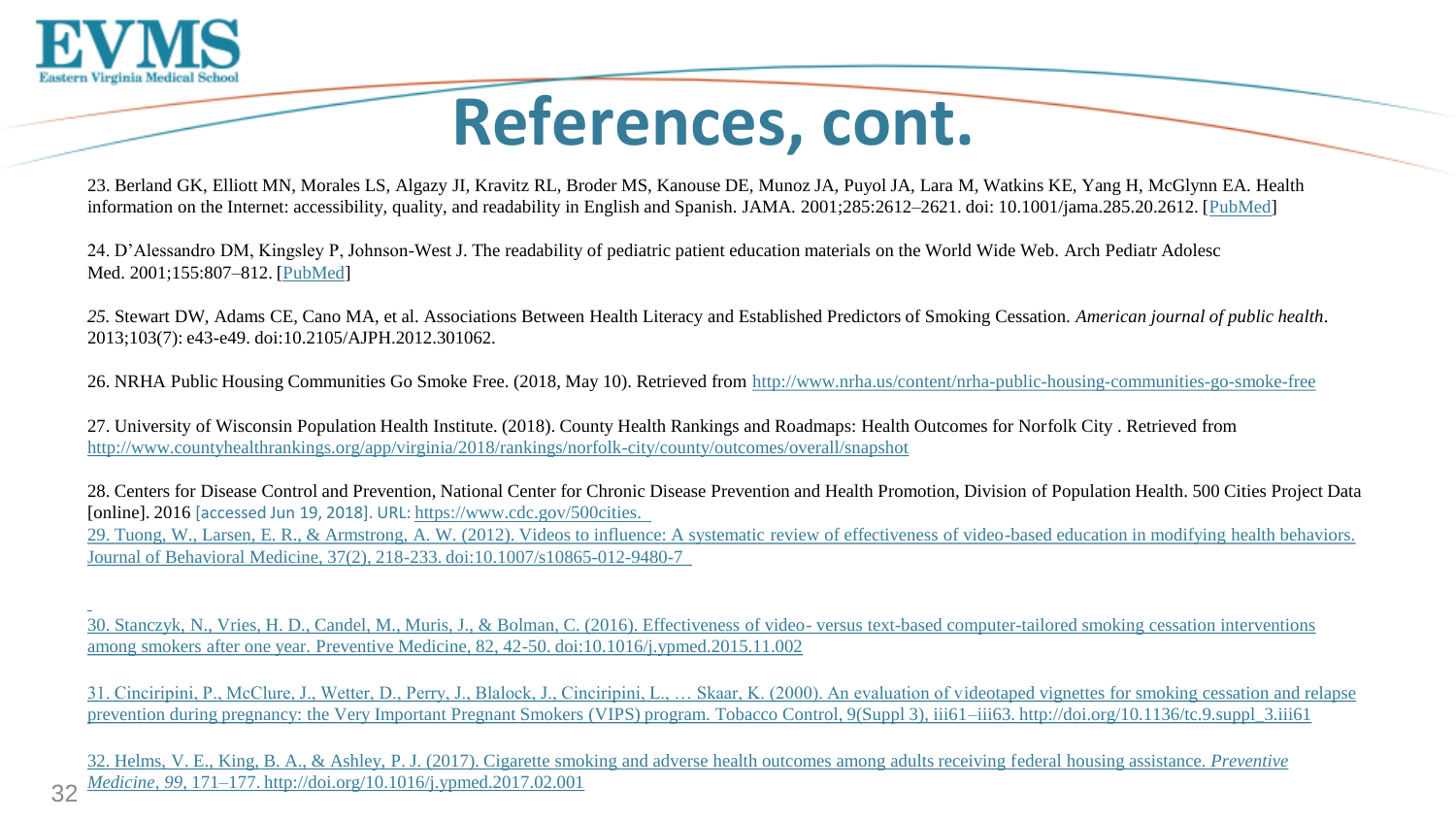

## **References, cont.**

23. Berland GK, Elliott MN, Morales LS, Algazy JI, Kravitz RL, Broder MS, Kanouse DE, Munoz JA, Puyol JA, Lara M, Watkins KE, Yang H, McGlynn EA. Health information on the Internet: accessibility, quality, and readability in English and Spanish. JAMA. 2001;285:2612-2621. doi: 10.1001/jama.285.20.2612. [[PubMed\]](https://www.ncbi.nlm.nih.gov/pubmed/11368735)

24. D'Alessandro DM, Kingsley P, Johnson-West J. The readability of pediatric patient education materials on the World Wide Web. Arch Pediatr Adolesc Med. 2001;155:807–812. [[PubMed\]](https://www.ncbi.nlm.nih.gov/pubmed/11434848)

*25.* Stewart DW, Adams CE, Cano MA, et al. Associations Between Health Literacy and Established Predictors of Smoking Cessation. *American journal of public health*. 2013;103(7): e43-e49. doi:10.2105/AJPH.2012.301062.

26. NRHA Public Housing Communities Go Smoke Free. (2018, May 10). Retrieved from <http://www.nrha.us/content/nrha-public-housing-communities-go-smoke-free>

27. University of Wisconsin Population Health Institute. (2018). County Health Rankings and Roadmaps: Health Outcomes for Norfolk City . Retrieved from <http://www.countyhealthrankings.org/app/virginia/2018/rankings/norfolk-city/county/outcomes/overall/snapshot>

28. Centers for Disease Control and Prevention, National Center for Chronic Disease Prevention and Health Promotion, Division of Population Health. 500 Cities Project Data [online]. 2016 [accessed Jun 19, 2018]. URL: [https://www.cdc.gov/500cities.](https://www.cdc.gov/500cities)  [29. Tuong, W., Larsen, E. R., & Armstrong, A. W. \(2012\). Videos to influence: A systematic review of effectiveness of video-based education in modifying health behaviors.](https://www.cdc.gov/500cities)  [Journal of Behavioral Medicine, 37\(2\), 218-233. doi:10.1007/s10865-012-9480-7](https://www.cdc.gov/500cities)

[30. Stanczyk, N., Vries, H. D., Candel, M., Muris, J., & Bolman, C. \(2016\). Effectiveness of video-](https://www.cdc.gov/500cities) [versus text-based computer-tailored smoking cessation interventions](https://www.cdc.gov/500cities)  [among smokers after one year. Preventive Medicine, 82, 42-50. doi:10.1016/j.ypmed.2015.11.002](https://www.cdc.gov/500cities) 

[31. Cinciripini, P., McClure, J., Wetter, D., Perry, J., Blalock, J., Cinciripini, L., … Skaar, K. \(2000\). An evaluation of videotaped vignettes for smoking cessation and relapse](https://www.cdc.gov/500cities)  [prevention during pregnancy: the Very Important Pregnant Smokers \(VIPS\) program. Tobacco Control, 9\(Suppl 3\), iii61–iii63. http://doi.org/10.1136/tc.9.suppl\\_3.iii61](https://www.cdc.gov/500cities)

[32. Helms, V. E., King, B. A., & Ashley, P. J. \(2017\). Cigarette smoking and adverse health outcomes among adults receiving federal housing assistance.](https://www.cdc.gov/500cities) *[Preventive](https://www.cdc.gov/500cities)  [Medicine](https://www.cdc.gov/500cities)*[,](https://www.cdc.gov/500cities) *[99](https://www.cdc.gov/500cities)*[, 171–177. http://doi.org/10.1016/j.ypmed.2017.02.001](https://www.cdc.gov/500cities)

32